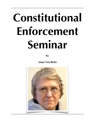# **Constitutional Enforcement Seminar**

**by** 

**Anna Von Reitz**

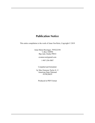## **Publication Notice**

This entire compilation is the work of Anna Von Reitz, Copyright © 2019

Anna Maria Riezinger, 7FFE22358 ℅ Box 520994 Big Lake Alaska 99652 avannavon@gmail.com 1-907-250-5087

Compiled and formatted.

by Max Emmons Taylor Jr. © American State National 4VFK20629

Produced in PDF Format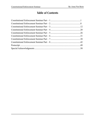# <span id="page-2-0"></span>**Table of Contents**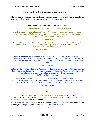## <span id="page-3-0"></span>**[Constitutional Enforcement Seminar Part – 1](#page-2-0)**

This material is being provided for attendees from all military, police, and peacekeeping forces ahead of the Seminar so you can study up and have your questions ready.

#### **Our Government (The Way It's Supposed to Be)**

 $\mathcal{L}_\text{max}$  , we are the set of the set of the set of the set of the set of the set of the set of the set of the set of the set of the set of the set of the set of the set of the set of the set of the set of the set of

You — the Unique Man or Woman — The Source of all Powers

One of the **people** — Your Christian Name — Your County — Local Government — County Sheriff in Control of Soil (National Jurisdiction) — your republican state (all the counties together) — The Union doing business as

#### **The United States**

One of the People — Your Lawful Person/Trade Name — Your State — Maine, for example — Your Governor in Control of Land and Undelegated Sea (International Jurisdiction) — The Federation of States doing business as

#### **The United States of America**

———————————————————————————————————————

Your **Legal Person/Trade Name** — Your Federal State of States — The State of Maine, for example — The United States Congressional Delegation in control of Delegated Powers — The United States in Congress Assembled — The Confederation of States (of States) doing business as the

#### **States of America**

**Subcontractor** — British Territorial Authorities — Territorial Government — Managing Federal Territories, Insular States, and Joint Naval Operations — Delegated Powers in the International Jurisdiction of the Sea — United States Congress — doing business as "the" United States of America

**Subcontractor** — Municipal Authorities — Civil Government — Managing the District of Columbia/Washington, DC — Delegated Global Powers — Municipal Services like the Postal Service and Patent Office — UNITED STATES CONGRESS — doing business as

"the" United States.

#### ——————————————————————————————————————— \*\*\*

Some of you may remember when The United States Federal Marshals wore brown uniforms. Now you know why. They are International Land Jurisdiction Officers, directly employed by The United States of America — our Federation of States.

United States Marshals wore blue because they are International Sea Jurisdiction Officers and were originally employed by the Confederation — the States of America.

\*\*\*\*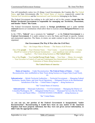You will immediately notice two (2) things: Local Governments, the Counties dba The United States, and State Governments dba The United States of America, respectively control the National Soil Jurisdiction and the International Land Jurisdiction belonging to the States.

The Federal Government has nothing to do with land or soil in this country, **except that the British Territorial Government is responsible for managing our Territories, Possessions, and Insular "States" like Guam.**

The Federal Government functions entirely in **foreign jurisdictions** and is under **service contracts** known as Constitutions which allow them to exercise certain **Delegated Powers** in our behalf.

In the 1700's, "**federal**" was a synonym for "**contract**" — so the **Federal Government** is a **Contract Government**. It is under contract to serve the States and People in specific, limited, and enumerated capacities. The States, in return, are under contract to pay for these services as stipulated.

#### **Our Government (The Way It Was After the Civil War)**

You — the Unique Man or Woman — The Source of all Powers

One of the **people** — Your Christian Name — Your County — Local Government — County Sheriff in Control of Soil (National Jurisdiction) — your republican state (all the counties together) — The Union doing business as **The United States**

One of the **People** — Your **Lawful Person/Trade Name** — Your State — Maine, for example — Your Governor in Control of Land and Undelegated Sea (International Jurisdiction) — The Federation of States doing business as

#### **The United States of America**

———————————————————————————————————————

**States of America** — Under Reconstruction. **The Federal States of States** — Under Reconstruction, later mothballed as State Trusts doing business as Oregon State [Land Trust], etc.

**Subcontractor** — British Territorial Authorities — Territorial Government — Managing Federal Territories, Insular States, and Joint Naval Operations — Delegated Powers in the International Jurisdiction of the Sea — United States Congress — doing business as

"the" United States of America.

**Subcontractor** — Municipal Authorities — Civil Government — Managing the District of Columbia/Washington, DC — Delegated Global Powers — Municipal Services like the Postal Service and Patent Office — UNITED STATES CONGRESS — doing business as

"the" United States.

———————————————————————————————————————

**As you can see, our portion of the Federal Government is incapacitated, "under Reconstruction". Reconstructing it would have been an easy matter if the American Populace had been properly informed, but they were not given correct information, so didn't take the appropriate action.**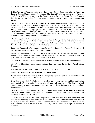**British Territorial States of States** usurped upon and substituted themselves for our **American Federal States of States**, so that, for example, **The State of Maine** was secretively replaced by "the" **State of Maine**. In this way the Brits took over the juicy Federal Service Contracts intended for our own Federal Service Organizations **and exercised Powers never delegated to them.**

The Brits began operating **what still appeared to be our Federal Government** as a corporate enterprise. They chartered a Scottish Corporation doing business "in our name" as "The United States of America, Incorporated". Using this semantic deceit, they published the Articles of Incorporation of this Doppelganger as "The Constitution of the United States of America" in 1868, and declared all Municipal United States Citizens, that is, "citizens of the United States" — to be criminals and slaves. The Municipal Government sided with the South and the Brits were intent on collecting war reparations from them.

The Municipal United States Government then also organized as a incorporated entity and rapidly spun off many variations of incorporated entities using the same kinds of similar names deceits: United States, Inc. was born, and they similarly declared commercial "war" against the British Territorial Citizens known as "United States Citizens".

In this way, both foreign Subcontractors, the Brits and the Pope's Holy Roman Empire, colluded to create a perpetual commercial "war" on our shores.

While this would seem to affect only Federal Employees and perhaps their dependents, both sides of this deliberate arrangement claimed that average Americans were on their side — which provided either side with an excuse for attacking us at will.

#### **The British Territorial Government claimed that we were "citizens of the United States".**

#### **The Papal Municipal Government claimed that we were Territorial "United States Citizens".**

And both sides of this phony commercial "war" attacked the innocent bystanders.

#### Average Americans are **State Citizens of The United States**.

We are Third Parties and naturally part of a completely separate population to which these Bad Actors owe "Good Faith" and "Service".

Over time, these criminal collaborators masked as incorporated business entities, contrived to gain control of our counties by a process of **unlawful conversion**. The foreign federal subcontractors had already substituted their own States of States for ours, now they wanted our Counties as well.

They did this by bribing ignorant people into **undisclosed franchise agreements**, promising "**Federal Block Grants**" — basically corporate kickbacks from the above-described racketeering operations, as a reward.

As our Counties took the bait, those organizations and their resources were **converted** and reduced to functioning as mere franchises of the parent "Federal" corporations involved, just like the foreign incorporated "States of States" organizations replaced and substituted themselves for our American States of States after the Civil War, Counties of Counties replaced our actual Counties.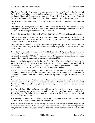The British Territorial Government versions operating as "States of States" under the original Scottish Corporation beginning in 1868, went bankrupt in 1907. This, then, cleared the way for the Pope's Municipal Government to come in and establish their own version of "States of States" organizations, which they briefly did. They incorporated yet another Doppelganger.

The Scottish Doppelganger was "The United States of America" Incorporated, bankrupted in 1907.

The Municipal Doppelganger was "the" United States of America, Inc. formed in 1925, bankrupted internationally in 1930 at the Geneva Conventions, bankrupted domestically in 1933 — and all by the same person: Franklin Delano Roosevelt.

None of this had anything to do with The United States nor with The United States of America.

This is all constructive fraud, carried out by Foreign Governments masked as incorporated "service organizations", that are supposed to be providing our States and People with limited and enumerated governmental services.

They have been secretively acting as predators and privateers against their Employers, the American States and People, and misdirecting our Public Employees and Armed Forces under color of law.

Now, the Pope has pulled the plug on "the" UNITED STATES, INC., yet another iteration of an incorporated Doppelganger merely being operated "in our names", and the erstwhile British Territorial version dba "USA, Inc." which has been in Reorganization for something like fifteen years, is due to Default on its debts at the end of September, 2019.

Back in 1976 during preparations for the end of the "federal" corporation bankruptcy started by FDR, the Territorial "Congress" released itself from its duty to act as our Trustees and foisted that obligation off onto the United Nations via the "International Organizations Immunities Act". As you will see, all the "state offices" were given to the United Nations.

And all of this has been going on behind our backs for decades, while we slumbered on, deliberately dumbed down so that we could never object to the bogus and Unconscionable commercial contracts and other scams perpetuated by these foreign incorporated service providers.

None of this would have been possible without the misdirection of our Armed Forces by corporate CEO's, like Roosevelt, operating as Presidents of "the" United States of America and Presidents of "the" United States, playing both ends against the middle — us, their feckless Employers.

Our Generals have failed us because they did not see through the similar names deceit, or because they are corrupt. In either case, it is plain to see that none of this actually involves The United States nor The United States of America. It is also clear that it does not involve the actual American States and People.

It is entirely the fault and "the Mess" created by the foreign federal subcontractors doing business "in our names" — and against our best interests.

What is also clear is that we are the Priority Creditors of both the Queen and the Pope and all their various corporations, all their banks, all their organizations — and no amount of pandering and guarantees of "immunity" granted by any Territorial Congress relieves them of their debts to us.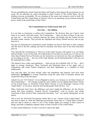We are assembling the actual American States and People to Reconstruct the government we are owed. We are asserting our actual citizenship as State Citizens of The United States. We are holding everyone accountable. We are claiming all the assets and contracts owed to both The United States and The United States of America. And we are operating our government using the power vested in the actual States of the Union.

#### **The Constitutional Law Enforcement Side of It**

#### **Part One — The Militias**

It is our duty as Americans to enforce the Constitutions. We all know that, yet it hasn't come home to us exactly what that means. The Constitutions — there are three of them, by the way, not just one — are service contracts between the States and People and the Federal Service Providers under contract. They provide the stipulated and strictly limited services, and we pay them for it.

Our part of enforcing the Constitutions means holding our Service Providers to their contracts and feet first to the fire, making sure that no chicanery and abuse such as has been described, goes on.

They describe the Constitutions as "The Law of the Land" because with respect to us, our States and our People, we are on the land. The Federal Service Providers are on the sea, or in the air. So when these Federal Service Providers are dry docked on our land and soil, they are obligated to act according to our law — the Law of the Land, literally, not the international law of the sea, nor the municipal laws, either.

The statutory laws, codes, and regulations — what you are all so familiar with "as" law — don't apply to average Americans. These Territorial and Municipal forms of law apply only to corporations and actual Federal Employees and their dependents as a condition of their employment.

You read that right. All these foreign codes and regulations and statutory laws have been deliberately **misapplied** to average Americans using the same kind of semantic deceits that created this Mess in the first place.

Asked if we are "US Citizens" we are obligated to answer, yes, because we are State Citizens of The United States" — the verbiage sounds the same whether you are talking about State Citizens of The United States, or Territorial United States Citizens or even Municipal "citizens of the United States", so of course, innocent and trusting people check the box, "yes".

Many Americans don't know the difference and aren't taught the difference, for the obvious reason that these predatory "Federal Service Corporations" want to involve and entrap Americans in their secretive little commercial mercenary "war" very quietly taking place on our shores.

This is how the Territorial Government claims that we are "citizens of the United States" and uses that to attack us, while the Municipal government claims that we "United States Citizens" and uses that to attack us, when we are in fact neither apples nor oranges in their system of things, and hold a completely separate status as State Citizens of The United States.

As their actual Employers, we don't even have a dog in the fight.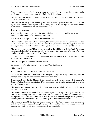We don't care who provides the services under contract, so long as they do their jobs and act in good faith — this latter issue, "good faith" being the defining issue.

We, the American States and People, are not at war and have not been at war — commercial or otherwise — since 1814.

The problem created by these criminally run amok "Service Organizations" can only be solved by self-administration, meaning that each and every one of us has the right and the responsibility to enforce the Constitutional guarantees and must do so.

Did everyone hear that?

Every American, whether they work for a Federal Corporation or not, is obligated to uphold the Constitutional Guarantees for every other American.

And we all have an equal right and responsibility to do so.

That means that ole Grandma, here, has the right and the duty to enforce the Constitution, just as much as any peace officer or LEO. I am a peace officer, okay? I am one of you, just as much as the Boys in Blue. I know that is hard to fathom, so take a moment and look around the room.

The secret of the American Militia is that we are all in the Militia, as in Switzerland. We are not as organized about it, but we are operating under exactly the same kind of system of civilian soldiery and it is not only legal — it's mandatory.

So I want to bring your attention to a more things about the American Militias — because there are many American Militias.

The word "people" in Hebrew means the "militia".

So when we say, "We, the People" we are saying, "We, the Militia".

Think about that.

It's not only our right, it's our duty to keep and bear arms.

And when the Municipal Government in Washington DC says one thing against that, they are acting in treason against the very basis of their own existence.

Remember, always, that the Municipal Government is literally created by Article I, Section 8, Clause 17 of the Original Constitution. If the Constitution and its rights and guarantees goes, so do they. We guarantee it.

The present members of Congress and the Pope may need a reminder of these facts, but facts they are, nonetheless.

The British Territorial Government is in a similar position, except that they do have a few separate land holdings under their control by delegation, which also operate as Commonwealths, most particularly Puerto Rico which has been used as a focal point of their privateer operations, and now, the Northern Mariana Islands, where they have moved their operations.

The persons responsible for this are disloyal members of the "US" Military, what Eisenhower called the "Military Industrial Complex". Our beloved military has been insubordinate and running this country as a foreign Military Protectorate since 1865.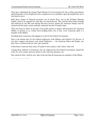They have substituted the foreign Papal Roman Civil Government for the civilian government, and both groups of our Employees have conspired to act as predators upon the people they are in fact hired to serve.

Both these centers of financial terrorism, one in Puerto Rico, one in the Northern Mariana Islands, need to be exposed for what they are and destroyed. They and the false claims brought and enforced by the IRS and Internal Revenue Service against the American People must be exposed and the entire system radically reformed, but that is another topic.

There has been an effort on the part of the guilty parties to bypass and demonize the American Militia, to portray us as violent know-nothing hicks, but in fact, every American adult is a member of the Militia.

Including those Americans who happen to work for the Federal Government.

Here is the bottom line for the Federal Employees, both Military and Federal Civil Service: if you don't support and protect your actual Employers — the American States and People, you don't have a contract and you won't get a pension.

If that doesn't motivate their sense of loyalty to this country, I don't know what will.

Among those millions of Americans who are employed by the Federal Government, spread the word. It's your country and your nation at risk. And your pensions, too.

Stay tuned for Part 2 and for now, take in the fact that all Americans are members of the Militia.

——————————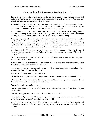## <span id="page-10-0"></span>**[Constitutional Enforcement Seminar Part – 2](#page-2-0)**

In Part 1 we reviewed the overall current status of our situation, which includes the fact that millions of Americans have been deliberately misidentified as different kinds of "US Citizens" and disenfranchised as Electors in their own country.

It also includes the — to some people — startling news that adult Americans who operate in their correct political status are by definition members of the Militia. We not only have a right to enforce the Constitution and the Public Law, we have the duty to do so.

So as members of our National — meaning State Militias — we are all peacekeeping officials and have the ability to make Citizen's Arrests, at gunpoint, if necessary. We also have the right and responsibility to intervene in the presence of any clearly unlawful activity.

Years ago, my husband was at a bank in California when two would-be bank robbers walked in and began the drill — intimidating the Tellers, waving guns, herding everyone into a corner, etc. There were two women in the group, one young lady who was about eight months pregnant and her Grandmother, a small, well-dressed woman in her early eighties. One of the bank robbers shoved the younger pregnant woman violently onto the floor. And....

Grandma took the .38 out of her patent leather purse and blew him away. Then she dispatched the other bank robber. And, as she holstered her gun, she commented grimly, "That will be enough of that."

That's an example of Citizen Justice in action, not vigilante action. It never hit the newspapers. And she was never charged.

Why? Because she knew her rights and her responsibilities. It was up to her to enforce the Public Law, because there was nobody else there to do it.

Armed bank robbery and reckless endangerment of life are clearly against the Public Law of this country. The bank robbers paid the price.

And my point to you, is that they should have.

My further point to you, is that that young woman was owed protection under the Public Law.

The actual American Public Law, that is, the Civilian Common Law, is very simple and very Draconian and based on The Ten Commandments.

You rustle somebody's cattle, you hang.

You get blind drunk and drive and kill someone, it's Murder One, not vehicular homicide, not manslaughter.

You rob a bank, you rape, you murder — boom. No questions asked.

So far as the soil jurisdiction of this country goes, that is the way it has always been and the way it still is. Anyone who doesn't know that, needs to be told.

Our Public Law has been derided by police unions and others as Wild West Justice and Vigilantism, but it's not. It's us, honoring our duty to keep the peace and preserve justice in this country.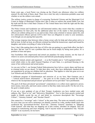Some years ago, a local Pastor was closing up the Church one afternoon when two robbers entered. He shot both of them, dead. There was a trial, but only to determine probable cause and whether or not the robbers were armed.

The military justice system in charge of overseeing Territorial Citizens and the Municipal Civil Courts in charge of Municipal Citizens don't like it when we enforce the actual Public Law, but the truth and the fact is that State Citizens of The United States have both the right and the duty of enforcement.

The Police Unions and Academies are self-interested entities; they resent what they consider to be competition for their jobs, but the additional plain fact of the matter is that peacekeeping officers are seldom sitting next to you and on duty when some criminal or nutcase opens fire, and law enforcement officers (private LEO's) don't have an obligation to come to your assistance, even though you are paying their payrolls.

The average response time between when a home owner calls for help and when police arrive is half an hour. In half an hour, an efficient criminal has killed the homeowner, raped and bound his daughter, and stolen everything of value in the house.

Now, I don't like putting that in the face of LEOs who are putting in a good faith effort, but that's the facts, Ma'am. And it's not a problem that can be fixed simply by hiring more police. It's a problem of time and space.

Our Forefathers fully empowered and armed our populace for many reasons, not the least of which is to assist conventional police forces and bulwark peace keeping functions.

A properly trained, armed, and organized — or as the Founders put it, "well-regulated militia" word which refers to the adult General Populace of each State, is a profound blessing to the cause of law enforcement and actual justice.

As you saw in Part 1, our foreign Federal Subcontractors have led us a merry dance and been up to criminal tricks on our shores. To hide their dirty work, they have deliberately dumbed-down our population by giving our children half an education. That applies to what has gone on in our Law Schools and our Police Academies as well.

A deliberate program of disinformation and omission of, as my hero, Burt Gummer, put it —"critical need-to-know information" — has gone on in this country and around the world, wherever the incorporated and privatized "government service providers" have proliferated.

The goal of all these privatized "government" corporations is to collect more oppressive power, more money, more jobs, and more union control so that they make more profit. For the rest of us, the goal is simple justice.

If you are a new graduate of one of their Trooper Academies you have studied some odd subjects, like "How to Lie" and "Subversive Mentalities". You've also been grossly misled and taught to blindly accept the use of, and belief in, oxymoron descriptions like "Sovereign Citizen", "Attorney General", and "Secular Church".

One cannot be a "sovereign" and a "citizen" at the same time. The terms are mutually exclusive. So every time you use such a misnomer you identify yourself as a rube, another dumb cluck who swallowed the "government-for-hire" Kool-Aid. "Attorney General" translates to "Shipping Clerk General" and what they are shipping out of this country, shouldn't be shipped. They are engaged in racketeering and asset stripping. And if anyone needs an explanation why "Secular Church" is an oxymoron, let me know.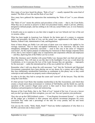How many of you have heard the phrase, "Rule of Law" — usually repeated like some kind of mantra? The Rule of Law this and the Rule of Law that?

How many have gathered the impression that maintaining the "Rule of Law" is your ultimate duty?

The "Rule of Law" means the policies and procedures of the courts — that is, the Court Rules. What they are so anxious to preserve is their own procedural matrix, which is private, arbitrary, designed to defraud people, and has nothing to do with any actual Public Law, or even Statutory Law, at all.

It should come as no surprise to you that what is taught in our Law Schools isn't law of the sort we assume, either.

What has been taught in American Law Schools for the better part of a century is corporate policy and procedure, the Rule of Law, not the actual Law, supplemented with State of State Statutes, Federal Code, Administrative Code, and Regulations.

None of these things are Public Law and none of them were ever meant to be applied to Joe Average American. They've been mis-applied deliberately to Joe American, who has been shanghaied, kidnapped, unlawfully converted — used in this case in the sense of "religious conversion", for the express purpose of subjecting Joe American to these foreign corporate forms of law, that is, laws meant to apply only to corporations and corporation officials and employees — and thus, depriving him of the Public Law he is owed.

Most Bar Attorneys aren't familiar with actual Public Law, because that's not their job and not their jurisdiction. They will stare at you like deer in the headlights if you say a word about the Constitution, or try to poo-poo the Law of the Land, because they are operating — improperly for the most part — under the international law of the sea or global law of the air.

Remember what I told you about the cold mercenary "war" that the Territorial and Municipal Government corporations have been playing out on our shores for a century and a half? How they have deliberately misidentified Americans as combatants in this phony war, so they could conscript us and confiscate our property assets without paying us?

In order to do that, they had to corrupt the courts and "convert" all the lawyers. They did this using the Court Rules.

It's their private Court Rules that mandate membership in the Bar Associations, and which then creates a closed union shop environment in violation of Taft-Hartley and the Smith Act, and the operation of this coercive illegal union power is then used to force lawyers into criminal obedience and participation in fraud and racketeering.

Because of the Court Rules, that is, the "Rule of Law" instead of the Law, if you are a lawyer and you don't go along with their corruption, you can't eat. You can't practice your profession.

They also set up the CRIS kickback system — "Court Registry Investment System" — by which all the judges get a kickback to their pension and pension investment programs for every conviction they make and a percentage of the take for every penalty and fee and home foreclosure sale.

Can you say the words, "Stink, Stank, Stunk"? Need any further explanation of why there is a 96-98% conviction rate in these courts?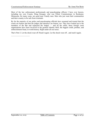——————————

Most of the law enforcement professionals and peacekeeping officers I have ever known, including my own Cousin, Doug Krueger, who was Police Commissioner in Rochester, Minnesota, for many years, are good men. Family men. Men who just want their communities and their country to be safe from criminals.

By far the majority of our police and peacekeeping officials have assumed and trusted that the courts are honest and that the judges and attorneys are honest, too. They have looked up to the members of the Bar and respected the Judges — and all the while, these foreign court organizations have been involved in the greatest identity theft, the biggest credit, probate, and embezzlement fraud, in world history. Right under all our noses.

That's Part 2. Let the shock wear off. Read it again. Let the shock wear off…and read it again.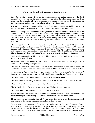## <span id="page-14-0"></span>**[Constitutional Enforcement Seminar Part – 3](#page-2-0)**

So.... Deep breath, everyone. If you are like most Americans just getting a glimpse of the Beast in our Bed, you are having the same sensation you get when the roller coaster drops out from under you. But be comforted. Those who sought to overcome us with lies and deceits are now on the receiving end, and they are trying to hang onto a tiger with ten tails.

I've already discussed our mutual obligation as Americans to enforce the Public Law, which includes the actual Constitution(s) — there are three (3) actual Federal Constitutions.

In Part 1, I drew your attention to what changed in the Federal Government structure as a result of the Civil War and its Aftermath: the American-controlled portion of the Federal Government that is supposed to be administered by the States of America disappeared, pending "Reconstruction". It has been MIA ever since, because the people of this country weren't given full disclosure. We are just now assembling the actual States of the Union to do the work involved.

The Confederation of American Federal States of States, all called "Confederate States" — both North and South, was formed under The Articles of Confederation, March 1, 1781, and did business under the name "States of America" from 1787 to 1861. And so we find that the genuine and original Federal Constitution is appropriately named, "**The Constitution of the united States of America**". The word "united" is used here as an adjective, not part of the name.

We have plenty of copies of this document cashiered here and in England, where various British Peers have preserved it, too.

In addition, each of the foreign subcontractors — the British Monarch and the Pope — have Constitutions governing their operations.

The British Territorial Constitution is called "**The Constitution of the United States of America**". The Papal Municipal Constitution is called "**The Constitution of the United States**".

As explained in Part 1, these foreign subcontractors are allowed to operate "under our names" because they were entrusted to exercise Delegated Powers on our behalf. Please note and review.

The actual name of our republican union of states is: **The United States**.

The actual name of our land jurisdiction Federation of States is: **The United States of America**.

These are Proper Names and they include the definite article "**The**".

The British Territorial Government operates as "**the**" United States of America.

The Papal Municipal Government operates as "**the**" United States.

We are owed and have the responsibility and duty to enforce all three of these Constitutions. Our Federal Employees, both Military and Federal Civil Service, have the duty to obey.

Please also note and remember that all Federal duties take place in the foreign international jurisdictions of the sea and the air, not on our land, not on our soil.

Some unscrupulous members of Congress have manipulated the Interstate Commerce Clause seeking to claim that that gives them a right to interfere with (and profit from) business transactions on the land, but in fact, the clear intention of the Interstate Commerce Clause is to promote the free flow of trade and commerce between corporations in neighboring states.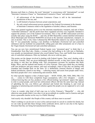Because each State is a Nation, the word "interstate" is synonymous with "international", so read "Interstate Commerce Clause" as "International Commerce Clause" and understand:

- 1. all enforcement of the Interstate Commerce Clause is still in the international jurisdiction of the sea, and
- 2. is still limited to business between actual corporations; and
- 3. the only actual enforcement powers granted to the Federal Government in the domain of Interstate Commerce relate to the regulation of alcohol, tobacco, and firearms.

They were granted regulatory power over the interstate manufacture, transport, and sale of these "controlled substances" and the profit from these regulated activities was originally intended to support the primary cost of the Federal Government. This is why all IRS enforcement activities actually take place using the BATF — and why all IRS Masterfiles contain falsified information about Municipal and Territorial PERSONS involved in the interstate manufacture, transport, or sale of alcohol. This is why when I obtained the IRS Masterfile related to my name I discovered that "I" was purportedly running a rum distillery in Barbados (Territorial turf and controlled substance) and my husband was purportedly selling guns and other armaments out of a base in the Virgin Islands (Territorial turf and controlled substance).

You can see now how misinformed Federal Agents were "presumed upon" to think that I, a Grandmother from Big Lake, Alaska, a woman who had nothing to do with rum or Barbados, was actually an international criminal who owed Federal Taxes, Fees, and Tariffs from interstate sale of controlled substances. Ditto my husband, who never sold any guns.

This points out the danger involved in dealing with Federal Agents. They aren't dealing with a full deck. Literally. They are given deliberately falsified records, so they don't know what they are doing or who they are dealing with. This circumstance accounts for incidents like Ruby Ridge, Waco, and the ambush and murder of LaVoy Finicum. These guys think they are dealing with rum producers and gun runners, and react accordingly, when in fact they are dealing with Grandma and Grandpa back on the farm. It's a deliberately fostered illusion of danger and federal jurisdiction, aimed at one thing — collecting money and assets from people under force, that those people don't owe: racketeering and extortion. Both.

So what typically happens is that a Federal Agent — BATF, FEMA, IRS, NHS, DHS, FBI, CIA etc., — comes in with these completely bogus assumptions, tells a few whoppers — usually without knowing they are lies, produces a few official-looking "government" papers that appear to refer to actual people, and local law enforcement officers fall into the same bear trap. Instead of upholding the law, you fellows get suborned and fooled into breaking it, and wind up engaging in racketeering and extortion schemes against the people you are supposed to serve and protect.

I have to wonder what kind of bull crap was in LaVoy Finicum's "Masterfile" — why did otherwise sane people think it was okay to set up an ambush on a public road in America and gun down a peaceable rancher on his way to a Public Meeting?

And exactly why shouldn't the People of this country call those men to account?

There's nothing we can do now to save LaVoy and not much we can do to comfort his family, but we can wake up and take these foreign crime syndicates down, and we can clue in the Agency Personnel that they are being fed manufactured horse dung.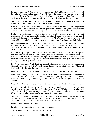For the most part, the Federales aren't our enemies. Most Federal Employees, both Military and Federal Civil Service, and even the rank and file Agency Personnel — consider themselves loyal Americans. Most of them would throw up if they had any idea how they have been lied to and manipulated, because that, in turn, reveals the criminal acts they have participated in unawares.

You can see how this works. They are given information from what they think of as an official source, so they trust their source and act upon it. And it's Bushwah.

I still see the film footage of the flames at Waco and think of the little children being roasted alive in their Mother's arms in the name of "protecting America". Fellas, that's not protecting America. That's protecting Bill and Hillary Clinton and their sleazy pals in the CIA.

It takes a strong stomach to own up to that and do something productive about it — without causing more death and mayhem. I'll admit, when I first dropped out of orbit and faced facts, I wanted to kill each and every politician in Washington. All of them. But over time, I've turned stone cold. I want all of you too fast forward and join me in that. Cold. Stone cold. Calculating.

First and foremost, all the Federal Agents need to be clued in: Hey, Gumbo, you are being lied to and used like a nose rag? Do you realize that you are functioning as an armed corporate mercenary and racketeer acting under color of law in your own country? How criminal is that, Mr. Big Time?

Until all this gets squared up, you can't trust "official" sources. You can't believe Agency Personnel and you can't trust Federal records, nor can you trust any State of State records because as you learned, the State of State organizations are all just franchises of the run amok Federal Corporations. And they are not American. They are British or they are operating under the auspices of the Holy Roman Empire.

How? Why? Remember Part 1. The Brits substituted Territorial States of States for our American States of States after the Civil War, and then the Pope's Boyz substituted their own Municipal STATES OF STATES after the Second World War.

Look, even one incident where people are killed or jailed under False Pretenses is too many.

We've got something like twenty-five million Americans in jail and most of them aren't guilty of any actual crime at all. Most of them are there for "regulatory infractions" and "statutory violations" that don't legitimately apply to them. They are there, because, again, there is money to be made.

Prisons for profit are big industry in this country. Care to guess who has the fat vendor contracts?

Until very recently, it was British Corporations who supplied all the prisons and who overcharged us so grossly even I couldn't believe it, and I've seen bills for solid gold toilet seats before. The British Corporations are bailing out of this country and going home or romping off to China to rape and pillage there, so who holds those fat contracts now?

Mostly family members of prominent politicians. Go figure. They are being set up, too. When the Dog Dew hits the fan, there will be a bunch of pink-cheeked dumb Americans holding the bag. You will have to look back a few years to catch the actual Perps.

Such a deal we've got for you, Hymie.

I used to look at the statistics and they made no sense at all:

96-98% conviction rates? Hello? How is that possible?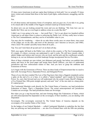25 times more Americans in jail per capita than Irishmen in Irish jails? Are we actually 25 times more violent and criminal than those in the land of pub fights, embezzlement, smuggling, and the IRA?

Not.

It's all about money and monetary forms of corruption, and you guys are, if you take it on, going to be smack-dab in the middle of the biggest criminal round-up in human history.

So about now you are looking around the room and you are thinking: "My God, how can we handle this? How can we even begin to address crime on a scale like this?"

I didn't say it was going to be easy — but recall Part 1. You've got about two hundred million Americans to call upon when it comes to enforcing the Public Law. All they really have to know is The Ten Commandments, and they can be of incredible value to you.

You may also be wondering — where do we take these crooks once we arrest them, since most of the judges are on the take, and most of the attorneys can't function as lawyers, and OMG, what a mess! We couldn't possibly house them all in jails....

Yep. You can't lock them all up and can't sit on them all day.

Well, once again, fall back to the Public Law, which in this country, is The Ten Commandments. It's simple, it's direct, everyone can understand it, and it works. We still have (mostly older, I admit) Judges and Justices and Lawyers who are loyal, and the jails and the courthouses actually belong to us, not our dishonest erstwhile bankrupt foreign incorporated Service Providers.

Most of these criminals are non-violent, just dishonest and greedy, but before you publish their names and faces in the local paper and assign them Parole Officers, you have to understand jurisdiction and how enforcement relates to that. And you have to grasp the emblems and Extensions of Power.

Let's begin with the Extensions of Power. There are three kinds of Empowerment that we need to deal with: Sovereign Power, Dependent Power, and Delegated Power.

Those of you who have studied The Law of the Flag know that when a flagpole (standard) carries a spike on the end of it, or is bare, it is called a "naked standard" and it stands for Sovereign Power. So, carry that forward and you will understand why the actual County Sheriff's Badge is a Five Pointed Star, fifth point straight upward, and each "arm" of the star ends in a sharp point. It's naked power.

The Continental Marshals work directly for The United States of America, our land jurisdiction Federation of States. That's a Dependent Power. The actual unincorporated soil jurisdiction Counties are sovereign. The land jurisdiction States are Sovereign.

But when you go a step beyond that, and start forming things like Federations of States, which are still unincorporated but dependent on the sovereignty of their members, you are dealing with Dependent

Sovereignty. The sovereignty exercised by The United States of America depends on the sovereignty of its member States of the Union.

So the badges of our Federal Marshals — called Continental Marshals to underline the fact that they are policing our land jurisdiction — are also Five-Pointed Stars with the fifth star pointing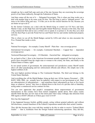straight up, but a small ball caps each arm of the star, because they are exercising the sovereign power of our States indirectly, through the Federation of States.

And then comes all the rest of it — Delegated Sovereignty. This is when one king works out a deal with another king to do some work for him. The first king is said to "delegate power". He turns to his fellow King and says, "I'd like you to do this crucial function for me, because you are better set up to do it."

So the former Colonists cut a deal with the British King to control our US Navy and later, Marine Corps, on the High Seas and Navigable Inland Waterways, because at the time, they had a big commercial fleet and no navy of their own to speak of, to protect it. So also they cut a deal with the then-Pope to provide Postal Service and Patent Service and similar intellectual property services.

This is where we see all the Shield Badges carried by LEOs and where we also encounter the Five- Pointed Star inside a circle.

So:

National Sovereignty – for example, County Sheriff – Plain Star – true sovereign power.

International Sovereignty — for example, Continental Marshals — Capped Star — dependent sovereign power.

Territorial/Municipal Sovereignty – US Marshals – Encircled Star – delegated sovereignty.

So, go back to Part 1. How is the American Government actually organized? Just look at how the power flows downhill from the single man or woman to the county, the State, and finally to the Federal States of States, right?

In our actual system of government, the unincorporated soil jurisdiction county Sheriff stands above all other peacekeeping and law enforcement officials and officers. His simple star is the highest emblem of all.

The next highest position belongs to The Continental Marshals. The third seat belongs to the United States Marshals.

And everything else, all the Shield Badges, bring up their rear. All the Agency Personnel — FBI, BATF, NHS, DHL, etc., actually have no authority with respect to our government at all. They are subcontractors of subcontractors — and sometimes these subcontracts go four or five layers deep, so whatever "power" they have is diluted down to the level of a private club or fraternity, acting under a commercial service contract for hire.

You can now appreciate that people's assumptions about empowerment of government functionaries in this country have been turned completely upside down. How many county sheriffs think that they are low man on the totem pole? How many willingly take direction from FBI Agents or BATF officials as if these guys were G-O-D?

How has this happened?

It has happened because foolish, gullible people, acting without granted authority and without full disclosure, created franchises of the Federal Corporations named after their actual Counties.

They did this because they were told they needed to do this in order to receive "Federal Block Grants" — that is, kickbacks from the foreign Federal racketeering operations. They did this,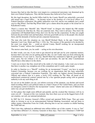because they had no idea that they were targets in a commercial mercenary war drummed up by their own Federal Employees. They did this because they believed in Free Lunch.

By this legal deception, the lawful Office held by the County Sheriff was unlawfully converted and turned into a legal Office — he became recast in the position of a low-level officer in a Federal franchise corporation. His public authorities were lost, and he was suddenly just a small cog in a Big Wheel. And that Big Wheel didn't give a damn about the people or the actual law in Katcahoola County.

There's a reason that "Sheriffs" like "Sheriff Grant" in Oregon who helped the FBI murder LaVoy Finicum do what they do. They are corporate men. They want to advance. They know the corporation will blackball them if they don't tow the line for the corporation. So they are caught between the proverbial rock and hard place, between good faith service to the people who elected them, and the demands of lawless private corporate bureaucracy.

The man who took this situation on, was Sheriff Richard Mack, in the epic United States Supreme Court Case, Mack and Prinz v. USA, Inc. The essence of the question to be decided by the court was simply this — could an elected County Sheriff working for an incorporated franchise "County" enforce the Constitution?

The answer came back, yes, he could — acting on his own discretion.

In other words, you can, if you want to get chewed up and spit out by your corporate masters, because that's not what you are getting paid for. But, we can't really stop you from enforcing the Constitution(s). If you want to. Anyway. Sheriff Mack has continued to fight the good fight all these years, but not without a lot of pain and ear-notches. He and the other Constitutional Sheriffs have often taken it in the shorts.

I want you to know that they stood tall in the midst of a bad situation. I also want you to know that there is another way straighten out of this conundrum and it's really quite simple.

In order to function as a "Sheriff" working for an incorporated "County" you have to accept Federal Citizenship, because you are working for an organization that has been unlawfully converted into a Federal Corporation Franchise. This takes our highest elected Peacekeeping Official and reduces him to a peon, a lowly LEO working for The Man, all based on an undisclosed commercial contract entered into by a few ignorant people acting with no granted authority to do any such thing at all.

So you act as the leaders you are, you inform everyone of the situation, you declare and record (land recording office) your political status as a State Citizen of The United States, and you front an emergency action to dissolve the incorporated "county" charter and come out of Babylon the same way you got snookered in.

At first glance that might seem difficult and painful, and the crooked Bar Attorneys will try to scare you off — because at this very moment, they have their eyes set on the biggest heist of all: our counties, our soil, our national jurisdiction.

In 2007 the U.S. Attorney General's Office owned and operated Wells Fargo. They got some idiots in Arizona to act as an unincorporated National Banking Association, and got them to rubber stamp a Masterline Form for Credit, allowing him to use our counties as chattel backing the TARP bail out.

That's how they siphoned an additional nine trillion dollars out of this country. It was so "hot" we had three different U.S. Attorney Generals in three days. That's how Obummer's TARP bail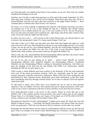out of the big banks was funded on the backs of our counties, on our soil. They took out a totally unauthorized mortgage on our soil.

And they won't be able to make their payments as of the end of this month, September 30, 2019. Three days later, October 4, they will be in First Default. Thirty-three days later, they will be in Second Default, and forty-five days after that, precisely on the pagan Winter Solstice --- these criminals plan to celebrate their Final Victory over America.

Of course, we've been working to undermine that outcome with hammer and tongs, but what I am pointing out to all of you, is that holding the bag for a bankrupt and corrupt foreign corporation is not a tenable position for you, or for your counties to be in. You are all going to lose your jobs and your homes and everything else, right along with all the other victims of this scam, if you don't jam the rudder into full reverse.

So, that's one way to do it — tell everyone on the County Board what's up, and get them to vote to dissolve the incorporated County. It's a beast made of paper. Fold it up.

And what if they won't? Well, just step aside, give them back their badge and squad car, walk across the street with a few like-minded men, and pin on your actual badge and serve your actual County. Put out the call for a few hundred Deputies. Just like the United States Supreme Court said, you can enforce the Public Law, the Law of the Land, at your discretion. Capital level identity theft, bank, probate, and securities fraud are all against the Public Law.

There's only one, true, unencumbered elected peacekeeping official and that's the actual County Sheriff, and right behind him, stand The Continental Marshals.

For all of you who are just getting up to speed — actual County Sheriffs are elected Peacekeeping Officials; their unelected Deputies are Peacekeeping Officers. Continental Marshals are also Peacekeeping Officers working in international jurisdiction. And when you guys are standing on the land and soil and dealing with Public Law enforcement, nobody including the FBI can say jack squat to you.

LEOs occupy a whole different and lesser position in the hierarchy of the law and technically aren't part of the actual government structure. LEOs are, technically, guns for hire: private security personnel, corporate mercenaries, Pinkertons. Many LEOs have been misdirected and misinformed by their corporate bosses, deliberately given false information so that they make false assumptions and carry through criminal actions. So we have to educate LEOs and separate wheat from chaff.

To add insult to injury, most LEOs aren't even insured and can be sued in their personal capacities. Like our soldiers who have been abused and used as cheap mercenaries, LEOs can't count on any County Corporation at the best of times and these are far from the best of times.

Your unincorporated County is the power in this country. Please be aware that just as the Sheriff's Star is the simplest and the most powerful, your actual County goes by the simplest Proper Name. It is Cleveland County, not County of Cleveland, not CLEVELAND COUNTY, not any variation at all. Just plain old Cleveland County, Ohio.

Remember the Sheriff in To Kill a Mockingbird? "I might not be much, Mr. Finch, but I am still Sheriff of Macon County.…" And Hank, the Sheriff, proceeded to tell Atticus Finch, the lawyer, what was going down. That's the way the power flows in America, not the other way around.

Remember the old John Wayne movies where he would deputize half the town to go after the bad guys? That is an example of an actual County Sheriff taking care of business. You have unlimited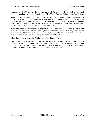——————————

resources and lawful capacity, the moment you chuck the corporate charter, declare and record your proper political status as a State Citizen of The United States, and pin on your Sheriff's Star.

Remember that everything these corporate jackals have done, including taking out a mortgage on our soil, was done via fraud, and there is no statute of limitations on the crime of fraud. Also remember that fraud taints everything it touches. In terms of Public Law, that pretty much blows us back to 1860, when Lincoln was elected under False Pretenses, a circumstance that invalidates his whole Administration. And everything that came after.

Remember that this current crisis was engineered by the Office of the U.S. Attorney General and that Bar Attorneys and Corrupt Judges, Ignorant Politicians, Crooked Bankers, Insubordinate Generals and deliberately misinformed Federal Employees are the core cause of this problem. So start educating everyone in your County, because it is your County.

That's Part 3, and in a way, the Fast Forward of the Situation Report.

You can, thanks to Mack and Prinz, use your discretion without apprehension. It's time that you do. As you gear up, remember that The United States of America —[Unincorporated] is still here, and has the weather gauge on these pirates. They aren't going to get away with stealing our country, and nobody in their right mind is going to come to their aid.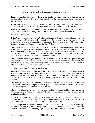## <span id="page-22-0"></span>**[Constitutional Enforcement Seminar Part – 4](#page-2-0)**

Imagine a four-lane highway, two lanes going South, two lanes going North. You are on the northbound side of the highway. The right-hand lane is the Slow Lane and the left-hand lane is the Fast Lane.

It's the same way with the law in this country. You've got the "Slow Lane" that is meant for corporations, and the "Fast Lane" that's meant for people and unincorporated businesses.

Both "lanes" are going the same direction and serve the same basic purposes, and if one lane is closed, it's possible to limp along using the other lane to get from Point A to Point B.

So that's what's happened.

It didn't have to be that way, but that's what has been done. The courts intended to serve people and unincorporated businesses and to administer the Public Law have largely been shut down using the same process of surreptitious incorporation that was used to unlawfully convert our County governments and undermine our Sheriff's Offices.

This process started shortly after the Civil War and grew out of the use of quasi-military tribunals in the Southern States, where ten military judicial districts were set up, and Military Common Law was used to maintain order. These courts were staffed by Northerners and came to be called, "Carpetbagger Courts". The districts were placed under the direction of a Brigadier or higher rank General and he was responsible for appointing judges.

This is a serious trespass against the Civilian Government and complaints were quickly brought before the United States Supreme Court, where it was agreed that when the civilian courts began operations, the military courts would step down to their prior use and status. That decision is Milligan Ex Parte and it is still in full force and effect.

As usual, the General Populace was not informed.

In the beginning there were plenty of well-educated lawyers and judges in the Northern States who maintained the Civilian Courts, but as the Court Rules began their insidious process of forcing the lawyers to accept Bar Membership, the old lawyers and judges who knew better, died off, and with them, the Civilian Courts went dormant and the Military Tribunals crept in to fill the gap.

The traffic, so to speak, was slowly being forced into one lane, and forms of law intended for corporations and corporate employees and corporate officers, were being applied — incorrectly — to common people and unincorporated businesses.

This process of subjecting average people to forms of law never intended for them, required the remaining courts to "interpret" people as THINGS — corporations or corporate employees of one kind or another.

Our Civilian Courts have held on by a thread and resisted conversion, just as some unincorporated Counties have. One of the most common slurs I have had to overcome is the idea that I am a "Fake Judge" but in fact, I am operating a Civilian Court.

Our Courts prohibit Bar Membership just as the Corporate Tribunals require Bar Membership. As a result the only people who can operate Civilian Courts are non-attorneys. Our lawyers are called Counselors of Law, and our judges are properly called "Justices". Most of our Civilian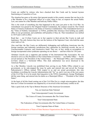Courts are staffed by retirees who have chucked their Bar Cards and by learned laymen functioning as Counselors of Law.

The situation has gone so far astray that ignorant people in this country assume that one has to be a Bar Member to be a legitimate officer of a court, when in fact, as respects the actual Public Law, one cannot be a Bar Member and hold any Public Office.

This is the result of something else that happened in the years just prior to the Civil War. An Amendment was passed to the Original Federal Constitution, the contract issued by The United States of America Federation to the States of America Confederation. This Amendment known as the "Titles of Nobility Amendment" or TONA, prohibits Bar Attorneys from holding any public office in our government, and establishes stiff penalties if they do. That Amendment was ratified in 1819 and is still in effect.

Read that — our Civilian Courts are in fact superior to their private Bar Courts in rank and legitimacy. The only Justices they have are the Justices of the Supreme Court, who hold the same exact rank as I do.

Also read that: the Bar Courts are deliberately kidnapping and trafficking Americans into the foreign maritime and Admiralty jurisdictions they administer by falsifying records, the use of Unconscionable Contracts, and constructive fraud. They are, in fact, acting as accomplices to foreign incorporated crime syndicates operating on our shores — and have been for 150 years.

Abraham Lincoln was a supporter and member of the International Bar Association. He was elected to serve as The President of The United States of America — our Public Office — but he served instead as The President of the United States — the Municipal Office, and Commanderin-Chief, which is a Territorial Office. This slick substitution was never disclosed to the American Populace.

As a Bar Member, Lincoln was prohibited from serving in any Public Office related to our government, so he side-stepped the issue by guile and entered into and served the Foreign Subcontractor's Offices instead. With respect to us and our actual government, this ruse invalidates everything the Lincoln Administration did "for" us, and it was one of the root causes of the Civil War. It is to be noted, that long-prior to the TONA Amendment, George Washington did the same thing, and entered into his duties as a Municipal Officer — "President of the United States".

At the heart of all this fraud coming out of the Civil War Era is a single misconception: the idea that our Civilian Government was impaired by or involved in this mercenary conflict at all.

Take a quick look at the Top to Bottom Structure of the American Government:

You, an American State National

Your Unincorporated County Government

The Union of County Governments dba The United States

Your Unincorporated State

The Federation of State Governments dba The United States of America

Your Corporate State-of-State

The Confederation of State-of-State Business Organizations dba the States of America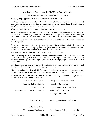Your Territorial Subcontractor dba "the" United States of America

Your Municipal Subcontractor dba "the" United States

What logically happens when the Confederation ceases to function?

All "Powers" delegated to it return whence they came, to The United States of America. And obviously, the Delegator of the Powers vouchsafed under the original Federal Constitution is completely competent to exercise those Powers for itself.

If, that is, The United States of America is given the correct information.

Instead, the General Populace of this country was never given full disclosure, and so, we never "reconstructed" the missing Federal States of States, and that gave the Territorial and Municipal Subcontractors the excuse — the "emergency" — that they have used ever since to prey upon us.

There is and there was no actual reason to suspend our Civilian Courts in the South or anywhere else at any time.

What was in fact accomplished via the establishment of those military judicial districts was a racketeering scheme by which our Territorial Subcontractors extracted war reparations under color of law, largely from people who never participated in any war.

And they have continued this criminal activity on our soil for 150 years.

That our Military has been Grossly Insubordinate and in Dereliction of Duty, is clear, though no doubt it comes as a great surprise to most of the Officer Corps and Enlisted as well. Like the misinformed IRS Agents and FBI Agents, our Military has been playing with half a deck and half an education.

And that has allowed them to be misdirected and misused as cheap mercenaries in wars for profit promoted by foreign corporations and foreign governments.

The Queen and the Pope have all this fraud and criminal pillaging and plundering to answer for, and to a lesser extent, so does Mr. Trump, the General Staff, and the members of "Congress".

All right, so that's a run-down of "how we got here" with regard to the Court System. Let's pursue the Two Lane analogy a bit further:

| <b>American Court System</b>                    | <b>Foreign Subcontractor Courts</b>      |
|-------------------------------------------------|------------------------------------------|
| Land and Soil Jurisdictions                     | Sea and Air Jurisdictions                |
| <b>Lawful Persons</b>                           | Legal Persons/LEGAL PERSONS              |
| American State Citizens and Nationals           | <b>British Territorial Citizens</b>      |
|                                                 | <b>Municipal CITIZENS</b>                |
| Justices/Postal Judges                          | Admiralty and Commercial Judges          |
| Lawful Trade Names<br>Unincorporated Businesses | <b>Legal Names and Corporation NAMES</b> |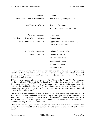| Domestic                                  | Foreign                                  |
|-------------------------------------------|------------------------------------------|
| (Non-domestic with respect to them)       | Non-domestic (with respect to us)        |
| Republican states/States                  | <b>Territorial Democracy</b>             |
|                                           | Municipal Oligarchy — Theocracy          |
|                                           |                                          |
| Public Law meaning:                       | Private Law                              |
| Unrevised United States Statutes at Large | <b>Statutory Law</b>                     |
| (International Land Jurisdiction)         | (applies to entities created by Statute) |
|                                           | <b>Federal Titles and Codes</b>          |
|                                           |                                          |
| The Ten Commandments                      | Uniform Commercial Code                  |
| (Soil Jurisdiction)                       | Uniform Bond Code                        |
|                                           | <b>Military Regulations</b>              |
|                                           | <b>Administrative Code</b>               |
|                                           | <b>Agency Regulations</b>                |
|                                           | Municipal Code                           |

As you can see, average Americans are not, generally speaking, subject to private law; nonetheless, Americans are being routinely mis-addressed as foreign federal subcontractors and subjected (and defrauded using False Legal Presumptions) under foreign forms of law that do not legitimately apply to them.

Unless Americans are actually employed by the US Military or the Federal Civil Service or are serving as elected Officials of the Territorial or Municipal Governments, or working for legitimately constructed US CORPORATIONS, knowingly seeking political asylum, knowingly seeking federal welfare benefits — with full view of the costs, or born in actual Territories, they cannot be considered Territorial United States Citizens, nor can they be considered Municipal "citizens of the United States".

You have seen one example of how Americans are being deliberately impersonated via falsification of records held in IRS Masterfiles — my own example of being misidentified by the IRS as a rum-running Mama from Barbados, which is used as a pretense to address me "as" a British Territorial US Citizen engaged in the manufacture of a taxable controlled substance and therefore, subject "me" to the private IRS Tax Code.

That is just one such gambit used to impersonate and attack and defraud Americans. The principal mechanism used to create a foundation for all this fraud is what I call "The Dead Baby Scam".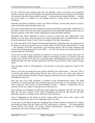It's all a little bit more complex than this, but basically, when we are born in an American hospital, a doctor who has been illegally conscripted and licensed by the Territorial United States Government, takes the dying amniotic material — the placenta and related afterbirth — attaches our Given Name to it, admits it to the hospital record as a dying person, and signs a Birth Certificate.

Ironically, this Birth Certificate is used as our Death Certificate, and the entire process is used to create an intestate infant decedent estate trust.

The estate created under the name of this non-existent dead infant is purportedly "abandoned" by the actual owners when they don't take the placenta and other afterbirth materials home, and so it becomes property of the State of State organization issuing the Birth Certificate.

Thereafter, this whole rigamarole is used as a device to latch onto and "administrate" your identity, use your name, and seize upon your assets using Dead Letters of Administration issued by the incorporated County Circuit Courts to members of the Bar Associations.

So it all comes back to the foreign Territorial and Municipal corporations that are supposed to be providing us with governmental services and the officers of the Foreign Subcontractor's Courts — the members of the Bar Associations, and American doctors who are being suborned and forced into licensing agreements by the AMA — just like the lawyers are being suborned and coerced under the Court Rules.

If you want to work in your profession as a doctor or a lawyer, you have to play their game. Or so they say. Actually, neither profession is subject to licensing in America. It's another scam and another story, but this is how the rats are stacking things and kidnapping Americans on paper and trafficking them into their foreign jurisdictions and then fleecing them in their equally foreign courts.

The criminality of this is self-explanatory. The fact that it is all gross constructive fraud is selfevident.

Those of you who are employed in any position related to law enforcement — take note. This is a national scale identity theft scheme that has been used to access our credit, seize upon our assets as chattel backing the debts of these foreign governmental services corporations, and leave us holding the bag for it.

Note also that every birth certificate is evidence of the aforementioned crimes. The Birth Certificate is issued long before the remainder-man, the living baby, is even possibly aware of what is going on. This creates an Unconscionable Contract — literally a contract that you are unaware of, and can't object to, because you are unaware of it.

Such contracts are fraudulent by definition, both illegal and unlawful, null and void. But day after day, all across America, False Legal Presumptions provided by this process and these abhorrent contracts, are being used to strip assets from Americans.

And it's happening on the watch of all the various police forces and on the watch of the American Armed Forces, but it's not happening under my watch.

It's the duty of all Federal Employees including State of State Franchise Employees to support and defend the States and the People and The United States of America — the unincorporated version thereof, but instead, our foreign Federal Subcontractors operating as commercial corporations, have been acting as crime syndicates.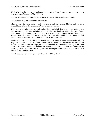Obviously, this situation requires diplomatic outreach and broad spectrum public exposure. It also requires enforcement of the Public Law.

Our law. The Unrevised United States Statutes-at-Large and the Ten Commandments.

And also enforcing our side of the Constitutions.

That is where the loyal soldiery and you fellows and the National Militias and our State Assemblies and the restored American Civilian Courts, come in.

Until we start arresting these criminals and putting them in jail, they have no motivation to stop their racketeering, pillaging and plundering, but it isn't as simple as walking into one of their court rooms and arresting everyone. It isn't as easy as going into the Maternity Ward or the Hospital Records or the Vital Statistics Office and physically invalidating everything we find there. It isn't even a matter of arresting their State of State Governor.

We have to educate the President, the Joint Chiefs, the United Nations Secretary General, the Pope and the Queen — all of whom inherited this situation. We have to educate doctors and lawyers. We have to educate Judges, many of whom think they are doing their duty. We have to educate the Armed Forces and millions of American Civilians — at the same time we are educating County politicians and taking peaceful and responsible action to bring a halt to these crimes of fraud and predation.

About now, you are wondering — how do we do that? End Part 4.

——————————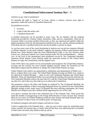## <span id="page-28-0"></span>**Constitutional Enforcement Seminar Part – 5**

And here we go: what is jurisdiction?

It's basically the right to "speak to" an issue, enforce a contract, exercise some right or agreement, within the context of a juridical framework.

So jurisdiction involves:

- 1. an action;
- 2. a right to take that action; and
- 3. a "juridical framework".

A juridical framework can be provided in many ways. We are familiar with the juridical framework provided by Counties, States, businesses, clubs, and yes, corporations. These are all exercised within even larger juridical frameworks as they are organized and applied within the global jurisdiction of the air, the international jurisdiction of the sea, and the national jurisdiction of the land and soil. A juridical framework can also be public or private in nature.

As you have seen, most of the courts functioning in America now are private corporate tribunals or military tribunals. As the name "tribunal" suggests, the majority of these courts function under Roman Law. Some function under the lesser Administrative Code. A very few function under Canon Law. American Common Law Courts function under The Ten Commandments — Mosaic Law. At the level of the international land jurisdiction served by The Continental Marshals, American Postal District Courts function under the unrevised version of The United States Statutes-at-Large, the Constitutions, and the Organic Laws.

In the 1920's there was a push to revise and renumber and reorganize The United States Statutesat-Large, but the revision was never actually adopted, because neither the Territorial nor the Municipal Congress had the authority to change The United States Statutes-at-Large.

Unlike Federal Code which is an administrative codification and interpretation of Public Law that is, evidence that a Law exists, The United States Statutes-at-Large are Public Law, meant to be enforced by Federal Marshals — what we now call Continental Marshals and United States Marshals. These are International Public Laws governing the interface between the land and sea. The Continental Marshals enforce the land side of it, and the United States Marshals enforce the sea side of it, and in that way, they both serve to enforce the Constitutions.

The guarantees owed to the States and People are enforced by The Continental Marshals, the rights and responsibilities of those exercising Delegated Power are enforced by the United States Marshals, though to their credit, many US Marshals like their suffering counterparts, the County Sheriffs, have helped to provide a skeletal shield supporting the Law of the Land.

Let's pause a moment and look at the celebrated case of the Colorado Nine. These good men made the mistake of transgressing on the foreign Subcontractor's Courts, because they mistook them for our courts. If a Federal Employee made the same mistake and made demands upon one of our American Civilian Courts, he would be guilty of trespassing.

So landsmen transgress and sailors trespass, and both are crimes.

I tried to explain this to the Colorado Nine — that you can't correct crimes by committing more crimes yourself, but because they so firmly believed that they were addressing their own public civilian courts run amok, they failed to take my advice.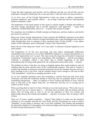I hope that their experience and sacrifice will be sufficient and that you will all duly note the importance of properly identifying who is who and what is what and where the lines are drawn.

As we have seen, all the Foreign Subcontractor Courts are meant to address corporations, corporate employees, and corporate officers — not average Americans and not unincorporated business enterprises, either.

The perpetrators of the fraud against us have gone to extreme lengths to kidnap and traffick us into their foreign jurisdictions and to provide themselves with paperwork — bogus birth certificates, falsified Masterfiles, and so on — to justify their actions if caught.

We, meantime, have trundled on, blindly trusting our Employees, and have made no such hostile provisions for ourselves.

When one of these foreign Subcontractor Courts summons the PERSON registered via the Birth Certificate, they have built a fortress of paper bulwarking their Legal Presumption that whoever walks through their door in response to their summons made "in that NAME", is the subject matter of that Trademark, and is a Municipal "citizen of the United States".

Hence the use of the slang term "mark" as in "easy mark" to reference someone targeted in a con artist scheme.

The Perpetrators of all this have previously and with malice aforethought deliberately misidentified each American as one of those PERSONS defined as a criminal and therefore as a slave, and "papered him over" as such. They then invoke the bogus the old Scottish Commercial Corporation "Constitution" and its now long-defunct 14th Amendment — and the poor hapless American is entrapped, without a clue about what is actually happening, or the legal presumptions that are being made against him. He is defenseless and at their mercy — literally.

The problem for them is that they are acting as brigands against their actual employers and are violating both the spirit and the terms of the Constitutional contracts. That man or woman is actually and factually an American owed their protection, but for the moment, the poor soul can't prove anything in his or her favor. And he certainly doesn't know enough to call crap on their "14th Amendment", which has no standing anywhere, at all.

So we have brigands operating courts and conspiring to commit fraud and strip assets from Americans, and when the Americans attempt to resist this, they are promptly thrown in jail for committing transgression — albeit, in response to Gross Trespass and Breach of Trust. And the irony is, that most of the Judges doing this, are Americans, and they are on average just as clueless as their victims.

When you bring them to task for it, they will stare at you wide-eyed and say, "This is the way we do it. This the way we've always done it.…" And they know no better. Like the military and the police, they are being used as tools to eat out the substance of their own country and unknowingly destroy their friends and neighbors — and don't even know they are doing it. Most of them.

There are, of course, notable exceptions — Queen's Men sitting in to make sure the operation continues to run smoothly and that the Court Rules and Bar Associations are used to enforce "discipline" on any Judge or Attorney who is less than compliant. This furthers and guarantees the sheep-like obedience of what appear to be American Judges and American Attorneys working for these foreign Subcontractors' Courts.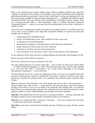Okay, so Joe American is up a creek, without a boat, without a paddle, confused, not a clue what is going on, trusting what he thinks of as his Public Court System (and being told no different) and being railroaded as a presumed "citizen of the United States" owing war reparations left over from a mercenary squabble among his foreign Subcontractors — a squabble that officially ended a hundred and fifty years ago with the Peace Declarations of President Andrew Johnson. Plus, Joe is being prosecuted under a "14th Amendment" made to a defunct Scottish Commercial Corporation Charter — a piece of con artist drivel that permanently lost any kind of authority or validity in 1907.

If this were not so outrageously stupid on our parts and criminal on theirs, it would be funny, but as it is, this is cause to deport every single Bar Association Member in America and more than enough cause to demand:

- 1. dismantling of The Dead Baby Scam;
- 2. closure of all Municipal Courts—they shouldn't be here in any case;
- 3. re-education of Territorial Barristers;
- 4. international recognition of what the Queen and the Pope have pulled here;
- 5. proper education on these topics for every American;
- 6. restitution for all those who have been harmed and
- 7. total restoration of our American Civilian Courts at the expense of the Perpetrators.

To say nothing of all the assets they have stripped illegally and unlawfully, plus damages for this.

But let's go back to Poor Old Joe American.…

Here he sits, and so far as it goes, he doesn't even exist.

The only evidence that he ever existed, other than — if he is lucky, an entry in the Family Bible — is a Birth Certificate belonging to a "baby" that died many years ago, with his name attached to it. And even that "baby" is presumed to be a Dual Citizen belonging to the Foreign Subcontractor corporations — not an American.

The first thing he has to do, is wake up. Unpleasant as that is. He has to be taught the facts and assisted in asserting them. He has to establish his "provenance" and prove where he came from, and he has to declare his political status as an American State National and/or American State Citizen.

**Note:** an American State National is one of the people and owes no duty to the government the government owes duty to him — except that he must keep the peace, and if that requires serving in the militia, to serve in the militia if he physically and mentally able. An American State Citizen is an American State National who voluntarily serves his State Government in some capacity, usually as a Juror, Militia Member, and member of the State Assembly.

**Step One** on the Road Home for Joe American is securing his identity — proving, declaring, and recording evidence of one's actual identity and political status as an American.

**Step Two** is to assemble all these "returning" Americans — who never actually went anywhere — in their State and County Assemblies.

**Step Three** is for them to hold their lawful public elections, fill their jury pools, fill their vacated offices.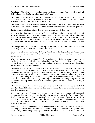**Step Four**, taking place more or less in tandem, is to bring enforcement back to the land and soil jurisdictions, which is where you boys (and ladies) come in.

The United States of America — the unincorporated version — has summoned the actual physically defined States to Assemble and has set up an organization, The American States Assembly, to help organize and expedite Steps 1 and 2.

The State Assemblies then become responsible for Step 3 and that accomplishes the basic restoration of the American Civilian Court System and County and State Government operations.

For the moment, all of this is being done by volunteers and freewill donations.

Obviously, those interested in being actual County Sheriffs and being able to wear The Star and wield its authority, need to get involved in organizing and supporting their actual, factual County and State Assembly process and need to stand for election. The one hard part about this is that you will have to serve as a volunteer for now and expatriate from any federal citizenship obligation, which means resigning from any corporate "Sheriff" position you might presently hold.

The foreign Federales allow Dual Citizenships of all kinds, but the actual States of the Union allow only one kind of citizenship — State Citizenship.

So if you want to serve as the actual County Sheriff and be the highest Elected Peacekeeping Official in the country on your little patch of land and soil — there's a sacrifice involved at the current time.

If you are currently serving as the "Sheriff" of an incorporated County, you can also serve by staying where you are and using your "discretion" to enforce the Public Law and protect the people living in your county — and by understanding and supporting whoever steps forward to fill the actual County Sheriff's Office.

Those interested in serving as Continental Marshals have a quicker route forward and can receive their Land Commissions directly from The United States of America without waiting for the assembling and the electing process. Continental Marshals are Peacekeeping Officers — not elected Peacekeeping Officials — so all you have to do or worry about is having or acquiring a thorough understanding of the jurisdiction you operate in, a familiarity with The Constitutions and The United States Statutes-at-Large, knowledge of current international police protocols, and the moxie to stand up for and enforce the Constitutional guarantees that the States and the People are owed.

There are among us riffed and retired United States Marshals and even some quite-elderly but still sharp Federal Marshals who can assist recruits in gaining the necessary skills, connections, knowledge, and insight.

Our country has been undermined by ignorance on one side and by the commercial interests of our purported Friends and Allies on the other. We are left with the task of restoration of our lawful government to full function, the lawful claim and conversion of assets that have been purloined if not outright stolen, and addressing the crimes against us — all at the same time. To do this, we must educate ourselves and educate a lot of other people, too, but the way we look at it, we have no choice.

We either do this and commit to it, or the entire world will be owned and operated by faceless, unfeeling, predatory, and unaccountable commercial corporation interests that operate under color of law, while actually accepting no law at all, but the law of tooth and claw. If that's the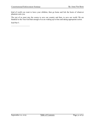kind of world you want to leave your children, then go home and lick the boots of whatever phantom suits you.

The rest of us must stay the course to save our country and then, to save our world. We are thankful to the True God that enough of us are waking up in time and taking appropriate action.

End Part 5.

——————————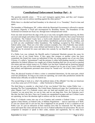## <span id="page-33-0"></span>**[Constitutional Enforcement Seminar Part – 6](#page-2-0)**

The question naturally arises — "If we can't transgress against them, and they can't trespass against us, how can we enforce anything against the other parties?"

While there is a decided and hard boundary to be observed, it is a "boundary" fixed in time and space.

The boundary of Washington, DC, within which the Municipal Government is allowed to operate its plenary oligarchy is fixed and encompassed by Boundary Stones. The boundaries of the Territorial Government are fixed, too, through more widespread and varied.

From one mile inward from the edge of the sea or any truly navigable inland waterway, the Brits can meet and mingle and enforce their jurisdiction to the extent allowed by their actual Territorial Constitution. The Federal Courts have a twelve-mile diameter safety zone around them that comprises their dry-dock area. The actual military installations and naval stations, armories, and so forth are also established within boundaries. The buildings occupied by Post Offices are federal safety zones. There are a few other common examples, but, when Federales step outside these "granted" federal safety zones defined and limited as they were in 1860 — they are on our turf and may be arrested for cause and taken into custody by our Sheriffs and our Continental Marshals.

If a Public Law was violated, the Sheriffs and/or Continental Marshals present the cause for arrest to one of our Grand Juries. If they agree that trespass or another crime has been committed, the Grand Jury issues an indictment (if they are acting against one of our own State Citizens, it's called a "presentment") and the prisoner is either held pending transfer to a federal authorities for federal offenses (we caught one of theirs breaking their law on our turf) or paroled (for minor and non-violent issues) or, if a Public Law has been violated and an American injured on our turf, the case will be tried under American Common Law by one of our Courts, EXCEPT that military and diplomatic personnel must always be "bound over" for trial by their respective courts.

Thus, the physical location of where a crime is committed determines, for the most part, which court has jurisdiction. So long as our courts are operating, our courts take jurisdiction outside the limited areas officially set aside for federal use.

The second thing to look at is, what's the political status of the offender? Are they an American or are they some sort of US Citizen — either Territorial or Municipal?

The third thing to consider is, what kind of law was broken? Did they violate Public Law meaning The Ten Commandments, The United States Statutes-at-Large, the Constitutions or any other Organic Law? If a Federale comes onto our land and murders one of us in one of our Counties, we can arrest him, we can try him, and we can hang him. Now, the Federales won't like that, but that's the facts. Once our Counties are repopulated on paper and our Civilian Courts are operating, we have the absolute right to enforce our law in our dominions.

What if a Federale comes into one of our Counties and commits a Federal Crime — a crime against a State Statute, or Federal Code, or Military Regulations — and we catch him at it? Well, it's not our citizen and it's not our law, but it happened on our ground. It isn't a violation of our Public Law. It's just an infraction of their statutory laws that we witnessed. So? We make the arrest and report the crime and turn the rat over to Federal authorities for prosecution. We are not competent to interpret or speak to their codes, statutes and regulations, but we often have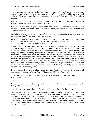"reasonable and probable cause to believe" that a crime occurred. In such a case, we have a duty to assist them, just as they have a duty to assist us. We do our part by making the arrest and acting as Witnesses — and then we turn the Suspect over to Federal authorities. They take it from there.

But that doesn't quite describe the situation does it? If it is a matter covered under Delegated Powers, we turn the Suspect over to the US Marshals.

If it's not covered under Delegated Powers and is still occurring in international jurisdiction, it's covered under the Tenth Amendment — Reserved Powers, and we turn the Suspect over to our Continental Marshals.

So, 1, 2, 3.… Where did the crime happen? Who or what committed the crime and what was their political status? What form of law was violated?

Let's fast forward and assume that all our counties and States are fully re-populated with Americans who are knowingly claiming back their political status and assets, acting as State Citizens, and operating their American Civilian Courts.

A Federal Employee comes into Lofflin County, Missouri, and murders his ex-wife, an American civilian. A neighbor who is a State Citizen and member of the militia catches him in the act and makes the Citizen's Arrest on the spot. He turns the Suspect over to the County Sheriff, who brings the Witness Testimony before one of our Grand Juries, and the Grand Jury issues the Indictment. This man has broken the Public Law on our turf, so except for the case of actual diplomats or military personnel, he is bound over to our Civilian Court. In a case like this, Federal Employees are required to not only obey all their Codes and Statutes, but also to obey the Public Law that stands over all the legislative and administrative clap-trap. Our Public Prosecutor stands up for the Victim, because the Victim can't be present herself. The facts and the law are presented to our Jury. Our Jury concludes its findings. Our Judge pronounces the sentence. Our Sheriffs carry it out.

Does everyone clearly and absolutely understand that Public Law trumps Private Law at all times, except in the case of actual Foreign Diplomats and Military Personnel?

So when it comes to actual crime resulting in actual harm to living people occurring on our turf, whose jurisdiction is it?

Ours.

It's our responsibility to address any violation of the Public Law and any issue not specifically Delegated to the Federal Subcontractors.

And what have we learned about the Delegation of Powers to Federal Subcontractors?

Well, for High Points, we learned that the Municipal Government is operating out of school and shouldn't even be present on our soil and that the Territorial Government is remiss for allowing that situation. The Military has mistaken the "Civil Government" for the "Civilian Government" accidentally-on-purpose and that has resulted in the unauthorized, unconstitutional proliferation of Municipal Courts and Municipal Governmental Services Organizations operating on our soil. All that needs to be shut down and the Municipal Government returned to its boundaries within the District of Columbia.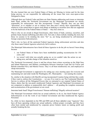We also learned that our own Federal States of States are Missing in Action and for the time being anyway, we are responsible for addressing all the issues that were once-upon-a-time Delegated to them.

Although there are Federal Codes and there are State Statutes addressing such issues as interstate bank fraud, neither the Territorial Government nor the Municipal Government are strictly responsible for enforcement. Just like incorporated "County" Sheriffs, they can use their "discretion" as to whether or not to enforce laws that aren't strictly their responsibility, and whenever it has suited them to ignore such things as banking or securities laws that are supposed to be the bailiwick of the Federal States of States — they have done so.

That is why we are awash in illegal foreclosures, other forms of bank, currency, securities, and probate fraud, human trafficking and other evils. Not only is there nobody minding the store, but those we assume to be minding the store "for" us, are being misdirected by self-interested foreign corporation Subcontractors.

That's why we have all the unelected Federal Agencies doing enforcement activities and also why those same Federal Agencies selectively fail to enforce.

The Municipal Subcontractors have hired all these Agencies to do the job we haven't been doing because

- 1. our Federal States of States have been mothballed pending reconstruction for 150 years, and
- 2. we weren't told what was actually going on, so we couldn't take the action we are taking now, and take charge of the situation ourselves.

The Territorial Government's focus is and has always been crimes occurring on the High Seas and Inland Waterways and Military coordination between American Land and Air Forces and British-controlled Navy and Marine Forces. They've all been misdirected, too, and employed as cheap mercenaries.

The Municipal Government is supposed to be setting up a nice meeting space for everyone and maintaining law and order inside the Washington, DC, Municipality — not running the country.

So, similar to the situation with Sheriffs serving incorporated Counties being told that they could, if they want to, enforce the Constitutions — we can, if we want to, use The Continental Marshals Service to enforce all the Delegated Powers that we entrusted to our original Federal States of States, duties that the run-amok misdirected Federal Agencies and Municipal Government are not competent to address or purposefully don't address — all pending the complete restoration and reconstruction of the government we are owed.

Interstate bank fraud? Illegal Foreclosures? Human trafficking? Illegally enforced taxation?

The Municipal Government which has no actual authority to do so, has hired Federal Agency Subcontractors to do the work of our Federal Government and then misdirected the Agency Personnel.

So, while we have depended on the FBI and DHS and all these alphabet soup "Agencies" they have all been operating without any actual authority, without proper oversight, and they have often been misled and misdirected by corporate power brokers intent on making profit and actually breaking the law.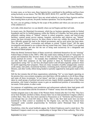In many cases, as we have seen, these Agencies have contributed to the problems and have been acting lawlessly on our shores. The FBI, IRS, BATF, BLM, FCC, and SEC are Prime Offenders.

The Municipal Government doesn't have any actual authority to grant to these Agencies and has been running them as private, for-profit, business operations. You see the problem?

So, now, you are getting a feeling for the scope of the problem and where you can serve as part of the solution to it.

Let's talk a little about how we can identify where our turf begins and their turf ends.

In recent years, the Municipal Government, which has no business operating outside its limited boundaries and for its limited purposes within the District of Columbia, has been going around arbitrarily making claims of "federal" interest in school properties, county and state-of-state facilities, contract postal service stations, hospitals, universities and wherever any "federal" money has been invested; however, for these claims to have any validity the actual State must have officially granted the land to the federal government, and no such action has been taken. Thus the gross "federal" overreaches and attempts to extend "Federal Zones" fall flat upon investigation and demand to see evidence that any actual State (not "State of State") ever granted the land in question, and also fail the test of being used exclusively for a designated and enumerated federal purpose.

When the British Territorial States of States secretively substituted themselves for our "missing" Federal States of States in the 1860's–1906, they made merry making all sorts of "land grants" to groups and institutions they favored. Some of what was done was intended to be good and not merely payback for cronies — for example, they established "land grant universities" that have not only built their campuses on the land granted to them by Territorial State of State organizations acting "for" us, but have developed and/or sold off land originally granted to them for profit supporting their programs. There are many examples of public campgrounds, summer youth camps, state parks, recreational facilities, swimming pools, historical sites, public gardens, libraries, and other worthy efforts being funded or partially supported by land grants made at this time.

Still the fact remains that all these organizations substituting "for" us were largely operating on the premise that a non-existent emergency provided them with the authority to do all these things and make all these investments "in our names" and that is simply untrue; these actions were taken by small groups of political and social activists, largely British sympathizers of the Fabian persuasion, who found a backdoor means to gain an unauthorized position of stewardship over our assets. Polite pirates, in other words.

For purposes of establishing court jurisdiction and enforcement authority these land grants still belong to the actual States and the investment of "Federal" money does not change that.

Another pregnant issue is the status of the Western States formed after the Civil War. They have never been formally enrolled as States, because there was no land jurisdiction Congress called to confirm them. Thus, they have been operated as Possessions as in "Territories and Possessions" even though they are owed full status as States. This is why their land assets have not been transferred to State control as mandated by the Organic Law, and they have instead been "managed" under custodial proprietorship by Territorial and/or Municipal State of State organizations.

Nonetheless, when the actual landlords appear, the Federal Employees need to stand down. The Statehood Compacts stand over any custodianship or foreign State of State authority. This is the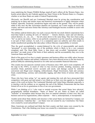issue underlying the Oregon Wildlife Refuge stand-off and it affects all the Western States. Any hostile action taken by any Federale against any State Citizen in the Western States is a Trespass, whether or not those States are under a Federal Proprietorship.

Obviously, our Sheriffs and our Continental Marshals must be giving due consideration and studying up on these and similar issues and historical circumstances to rightly determine where Federal, especially Territorial, jurisdiction begins and ends on the ground. They will be greatly aided in this once the Bar Association shackles are loosened, our Courts reopen all across the country, and more and more former Bar Attorneys and Paralegals become available to assist with such questions.

The military judicial district ploy was such a success that the run amok federal corporations have tried their hand at creating all sorts of "districts" — historic districts, water and soil districts, school districts, etc., etc., etc., — but all comes down to the same thing. They have been acting "for" us and in our names, while we are perfectly competent to act for ourselves, and doing this is not part of their contract. As such, it is a usurpation upon our authority and often results in totally unauthorized spending that takes place without fiduciary responsibility or restraint.

Thus the good accomplished is counter-balanced by the evils of unaccountable and merely "presumed" to exist trusteeship, one of the problems which is likely to be a very common complaint until The Dead Baby Scam is shut down and so-called "international service providers" are made aware of the limits of their authority and the accountability they owe to the American States and People.

Much of the great evil we face is simply ignorance and business affairs run wildly askew because foxes, especially bankers and military contractors, have been allowed access to the hen house by political lobbyists substituting themselves for sober and accountable financial fiduciaries.

This country has not enjoyed a normal course of business since 1865, and it went completely off the map in the 1930's, so much of what we face involves probate, bonding, insurance, and securities fraud, purloined escrow accounts and assets, and damage caused by unlawful conversion and illegal asset stripping, embezzlement, illegal foreclosures, bank and currency fraud, counterfeiting, currency and commodity rigging, and other forms of serious white collar crime.

Those who have been acting "as" our agents and running this rock pile have prosecuted their competitors with great zeal and turned a very blind eye to their own sins against us. So another aspect of the work set before The Continental Marshals and United States Marshals especially, is to interface with the military as we negotiate the end of the Military Protectorate that has been foisted off on us for six generations in lieu of our own government.

While I am thinking of it, I also want to remind everyone that actual States have physical, geographically defined boundaries. "States of States" do not. States of States are called "inchoate" or incomplete states because they have no material substance of their own; they are business and service organizations, either corporate — that is, unincorporated, or incorporated.

Another point about State identity and structure is that actual States are formed by Compact, not by Constitutions. Underline that — our States were not created by any Constitution. Our States were created by social and political Compact.

Many Americans are confused and think that their country and their states were created by the Constitutions. That's like thinking your house was created by a maintenance contract.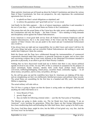Many patriotic Americans get all bound up about the Federal Constitutions and about the various State of State Constitutions, but from our perspective, the only importance the constitutional agreements have for us are:

- 1. to uphold our State's actual obligations as stipulated; and
- 2. to enforce the guarantees and "good faith service" we are owed.

And finally for this little segment — this is of utmost importance, underline it and remember it the rest of your days — only the actual States are Parties to the Constitutions.

This means that only the actual States of the Union have the right, power, and standing to enforce the Constitutions and only the People — the State Citizens — have standing to bring demands and disciplinary action against the Federal Subcontractors.

Every American is owed good faith service from all Federal Government Employees and all Federal Subcontractors, but it is the actual States of the Union and the People acting in the capacity of State Citizens who can put pedal to the metal and put Constitutional Enforcement into overdrive.

It has always been our right and our responsibility, but we didn't know and weren't told how far off course things had gone, and our erstwhile Federal Subcontractors did nothing to assist and enable their Employers. Quite the contrary.

Both the Queen and the Pope have collaborated through the instrumentalities of commercial corporations chartered under their auspices, to genocide Americans on paper, and we have clear and convincing evidence that at least some elements in the Municipal Government intended to genocide us physically, in an effort to get rid of their Priority Creditors.

Nothing that we have discovered would lead me to believe that there is any sincere political agenda involved in any of this. An easy 90% of this is centered on usurpation for the purpose of unjust enrichment, bunko schemes, identity theft, credit fraud, probate fraud, unlawful conversion, trafficking/kidnapping, inland piracy, securities fraud, commodity rigging — its all about money, not politics, and its crime, not politics, driving it.

So, the call has gone out and the watchfires have been lit. Americans are shaking off the dust, and are straightening out their own deliberately falsified provenance and political status records. The actual States are assembling for the first time in a hundred and fifty years. The National Militia is organizing.

The actual military will side with us.

The US Navy is going to figure out that the Queen is acting under our delegated authority and anything she orders that harms us is:

- 1. Gross Breach of Trust,
- 2. grossly illegal, and
- 3. they are liable for following criminal orders just like the Nazi jocks at Nuremburg.

The Marines are going to shake awake, too. The Jar Heads have been shouting, "I am an American!" every morning for generations. When they figure out that foreign Subcontractors have been misdirecting them and defrauding the folks back home, there's going to be Hell to pay.

The Army, God bless them, might be slow, but the Mills of God grind very, very fine. And the Air Force won't be far behind.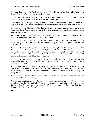No matter how corrupt the Top Brass is, there's a Magic Moment when they realize that enough is enough and "we" aren't going to take it anymore.

Our flag — our flag — has been hanging, struck, face down in the Capitol Rotunda for a hundred and fifty years, for no justifiable reason at all. It's time to change that.

Now, if you are like me, you already know that no Yemenis bombed those Saudi Oil Refineries. You've seen the NATO missiles used to deliver those heavy payloads. You know what to think.

And you know that Mr. Trump's "harshest sanctions ever against Iran" are just a build up to some nasty False Flag on our own soil, or elsewhere, calculated to mislead the American Public into war once again.

Let me tell you something — Iran hasn't fought a war outside its borders in over 200 years. They aren't the Aggressors in this situation, and that's for sure.

Our criminal out-of-control Foreign Subcontractors — the Queen and the Pope, are the Aggressors, just as they always have been. And Mr. Trump is, thus far, going along with this like a trained duck.

For your information, the Queen and the Pope have been playing the same game since The French and Indian War: get the Americans to fight the war for them, get the Americans to pay for the war for them, and keep the profits for themselves. George Washington thought we should get a cut from it. I think that the Queen and the College of Cardinals should be out there in the field in their bedroom slippers fighting their own battles.

Anyway, that quid pro quo, in a nutshell, is why we have been in nearly constant war for 150 years, while Iran has been at peace. That's why our veterans stand on street corners holding signs that say, "Vet in Need".

It's the moral fault and the greed of our purported Friends and Allies acting "in our names" that caused all of this misery, that has undermined our country, that has stolen our bread and our identities and our credit, that has spilled our blood, polluted our country, ruined our currency, and many other ills.

Well, use your own heads. If you can't see who our real enemies are and always have been, you really do need a bolt of lightning.

We, the American States and People, are not going to suck their toes anymore. We're not going to fall for their Big Lies and False Flags anymore. And we're not going to sit idly by, being fleeced and used for gun fodder, anymore. So, it's time to up anchor and sail. And time for the Joint Chiefs to be "fully informed".

End Part 6.

——————————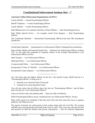## <span id="page-40-0"></span>**[Constitutional Enforcement Seminar Part – 7](#page-2-0)**

#### **American Civilian Enforcement Organizations (ACEO's)**

County Sheriffs — elected Peacekeeping Officials

Sheriff's Deputies — County Peacekeeping Officers

County Militias — County Peacekeeping Officers

State Militias (not to be confused with State of State Militias) — State Peacekeeping Forces

State Militia Special Forces — for example, actual Texas Rangers — State Peacekeeping Officers

The Continental Marshals — International Peacekeeping Officers/Land and 10th Amendment **Jurisdiction** 

**———————————————————————————————————————**

United States Marshals — International Law Enforcement Officers/ Delegated Sea Jurisdiction

State-of-State Militias and National Guard Units — National Law Enforcement Officers working "for" us, but under the command of corporate officers of the Foreign Subcontractors, Law Enforcement Officers (LEOs)

State Troopers — Law Enforcement Officers

Municipal Police — Law Enforcement Officers

Commonwealth Police — Law Enforcement Officer

Incorporated "County of" Sheriffs — Law Enforcement Officers

Incorporated County Deputies — Law Enforcement Officers

You will notice that the highest official on the list is the elected County Sheriff and he is a "Peacekeeping Official" so long as he is:

**——————————**

- 1. declared as an American State Citizen and
- 2. working for an unincorporated County.

You will also notice that all officers above the line are "Peacekeeping Officers", and all those below the line are "Law Enforcement Officers".

And you will also notice the pecking order — these are ranks of authority.

Public Peacekeeping Officers always outrank private Law Enforcement Officers. Always.

Many LEOs need to be reminded of that fact and of the only thin claim they have to separate authority: the Pinkerton Laws.

The genesis of private law enforcement in this country began after the Civil War. The western railroads were carrying people and goods from coast to coast. They were also carrying the mail and payrolls for both the military and private corporations — like the railroad corporations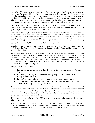themselves. The trains were being attacked and robbed by outlaws like Jesse James and so were the banks. To combat this, the Pinkerton Laws were passed by the then-Territorial Congress, allowing the railroads, banks, and postal servicers to hire and/or run their own private security services. The British Company hired by the Continental Railroad for this purpose was the Pinkerton Agency, and so, these became known as the Pinkerton Laws, and the name "Pinkerton" has been applied to private corporate security agents and agencies ever since.

The FBI is exactly such a Pinkerton Agency. So is TSA. So is the local incorporated "County" Sheriff. And so are the floor walkers at Walmart. They are all corporate employees operating in a private capacity, for-profit, for-hire, under contract.

Technically, the only place these Security Agents have any claim to authority is on the railroads, the railroad right of ways, the Federal Post Offices, and Federal Post Roads. The basis for even that authority comes from the actions of a Scottish Commercial Corporation Board of Directors operating a foreign entity under conditions of constructive fraud, and on top of that, that same corporation went bankrupt in 1907, so even within the confines of private law it is my considered opinion that none of the "Pinkerton Laws" hold any weight at all.

Certainly, if any such agency or employee thereof ventures into a "law enforcement" capacity and violates the Constitutional Guarantees owed to the American States and People, they are on very thin ice, indeed.

Like many other aspects of the entangled Mess our government has become, the foreign Territorial and Municipal Subcontractors have endeavored to expand the reach and authority of the Pinkerton Agencies under their control, which they have employed to provide private law enforcement services. They have done this by tinkering with definitions of such things as "railroad right of way" and "post road", so as to expand their excuse for the use of private corporate security agents and agencies.

My point to all of you is that:

- 1. these people are not operating as State Citizens so they have no power of Citizen's Arrest;
- 2. they are employed as private security officers by corporations, which is the definition of corporate mercenaries;
- 3. there isn't any credible basis for their private law enforcement capability and
- 4. as already explained, they are being lied to by what they consider to be "official sources" so that they aren't acting responsibly.

I do not wish to cast any aspersions on individual Federal Agents, many of whom have served America with honor, but if you are being lied to about the basis of your own authority and fed horse hooey, like the idea that I run a rum distillery in Barbados — these guys aren't playing with a full deck. They are being deliberately misinformed and misdirected, and that makes them dangerous — to themselves and to others.

How would you like to be one of the FBI Agents who set up the ambush and murder of LaVoy Finicum about now?

But to be fair, they were acting on false premises, had probably been misinformed by their "sources" and everyone concerned including the incorporated "County" Sheriff's Officers were assuming the existence of authority for themselves that in fact doesn't exist.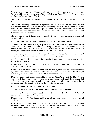When you straighten out your falsified identity records and political status records, and join your State Assembly, you have actual power. You not only have the General Power of Citizen's Arrest, you have the Specific Power of the State backing you.

The LEOs who have been swaggering around brandishing billy clubs and tasers need to get the word.

They've been assuming that they have legitimate power and that they are Big Cheese because they work for The Man, but in fact, their butts are hanging four-square into the wind, and if they don't serve the American States and People, and don't honor our Constitutions, they've got no business being here and the actual Law Enforcement Power of the States and People can and will fall on them like a ton of bricks.

The only reason that it hasn't done so already, is that we were deliberately misled and misinformed, too.

All peacekeeping officials and officers outrank all LEOs by many country miles.

All these men and women working as peacekeepers are soil and/or land jurisdiction elected officials or officers; some are volunteers, some are paid, and hopefully more will be paid in the future. Actual Sheriffs are elected by the State Citizens, actual Deputies are deputized by the Sheriff, the State Assemblies operate and man the actual State Militias.

And no LEO anywhere has any right or reason to mistake us for combatants in a commercial mercenary war that never involved us and which ended 150 years ago.

Our Continental Marshals all operate in international jurisdiction under the auspices of The United States of America.

All the State Militias and actual County Sheriffs all operate in national jurisdiction under the auspices of their actual State.

If anyone says one word against our militiamen and women, mark them well as either another ignoramus who needs to be educated about his own country, or one of those who have betrayed this country and its people for the sake of political power and money.

If anyone teaches you to use oxymorons like "Sovereign Citizen" and tries to blackball Patriots, shove it back down their throats — because those same people clearly think that you are a fool and that you can be persuaded to undermine and mistrust and ridicule and even open fire on other Americans who are doing their actual duty to defend this country.

It's time we put the Butcher's Bill on the Queen's Account.

And it's time we called the Pope out for the Roman Pontificate's part in all of this.

And time we all wised up. LEOs included. FBI included. CIA included. DIA included. We've all been played for chumps and fleeced blind.

It's not nice to fool Mother Nature, and it's not safe or smart, either, to defraud your actual employers.

As our people correct their political status records and join their State Assemblies, they naturally fill up their County Assemblies, too. As they hold their elections all our vacated offices are filled and the Civilian Government owed to this country is reborn anew.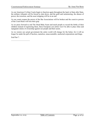As our American Civilian Courts begin to function again throughout the land, in State after State, the military tribunals will be forced to shut down, and the graft and racketeering, the abuses of power, the extortion, and the asset stripping will be at an end.

As our courts reopen the power of the Bar Associations will be broken and the coercive powers of the Court Rules will lose their grip.

As we press forward to end The Dead Baby Scam and teach people to record the births of their children instead of registering them, these European con artists won't be able to place false and repugnant claims of ownership against our people and their assets.

As we restore our actual government the entire world will change for the better, for it will no longer be under the pall of faceless, nameless, unaccountable, unelected corporations and thugs.

End Part 7.

——————————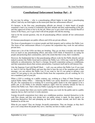### <span id="page-44-0"></span>**[Constitutional Enforcement Seminar Part – 8](#page-2-0)**

So you may be asking — why is a peacekeeping official higher in rank than a peacekeeping officer? And why are both higher on the totem pole than law enforcement officers?

It's because, in the first case, peacekeeping officials are elected. A whole bunch of people examined a man's (or woman's) credentials and their attitude and their understanding of the job, and they approved of him or her to do the job. When you've got a beef with an elected Sheriff or Justice of the Peace, you've got a beef with all the people who did the electing.

And as for the second question, why do all peacekeeping officers outrank all law enforcement officers?

It's because peacekeepers are public officers and LEOs are private officers.

The focus of peacekeepers is to protect people and their property and to enforce the Public Law. The focus of law enforcement officers is to protect the corporation they work for and enforce private laws.

About now a lot of the LEOs out there are bristling. They go out there everyday and risk their lives as much as any peacekeeping officer, and many LEOs think of themselves as caring for people and protecting their communities, and to the extent that that is true, that's wonderful.

However, the fundamental fact is that peacekeeping officers work for the Public directly and are tasked to protect the Public Good and to enforce the Public Law. LEOs may work for the public indirectly as subcontractors, but there's a foreign, for-profit corporation acting as a middleman, and that corporation directs their actions and priorities. It protects itself and its self-interest first.

Like the Supreme Court told Sheriff Mack — well, you can enforce the Public Law if you want to. And it's left for Sheriff Mack and men like him to hear the rest of the unspoken part of that message: you can enforce the Public Law if you want to, but it's not going to advance your career. It's not going to win you Brownie Points from the corporation you are working for. It's not a mandatory part of your job.

When a LEO is working on a public contract, say, working as a State of State Trooper in a typical Public Safety Office — enforcing the Public Law surely should be a mandatory part of the job. The corporation he is working for is receiving public funds to do what appears to be a public job, so Joe Public is his ultimate employer, right? And Joe certainly intends for him to enforce the Public Law. That's what Joe Public is paying for and what Joe expects.

Most of us assume that when you receive public money you work for the public and in a public capacity, but no, that's not how it works anymore.

Foreign for-profit corporations have taken up a middleman position, inserted themselves in the cash flow stream, and they now dictate how our public money is spent. So they spend it on protecting themselves first and plumping up their profit margins second, and devil take the hindmost on all the rest.

What do you expect? They are foreign, for-profit corporations. They are foreign, so they don't give a rat's rump about the people they serve. And they are here to make a profit.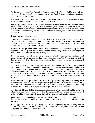So these corporations calling themselves "states of states", like State of California, spend your money which you allocated for the enforcement of your Public Law, on the enforcement of their private, corporate law instead.

And guess what? Their private corporate law always favors them and it always involves statutes and codes and regulations. It doesn't involve Public Law at all.

I have a good friend who is one of the most respected attorneys on the West Coast and a former State Supreme Court Judge as well. He's about thirty years older than me and still sharp as a tack. He witnessed the unlawful conversion of our government firsthand back in the sixties when men like LBJ started handing out the Federal Kickbacks as bait to get the States and Counties to incorporate.

Here's a quote from him about it:

"Nobody saw it coming. Nobody understood how it worked or what impact it would have, except of course, the attorneys. Those of us who had resisted the Bar up to that point and continued to act as Counselors of Law gave up and decided to join the Bar and pursue careers in contract law, because that's all that was left."

When the State Legislatures and County Boards all stupidly voted to incorporate they ceased to be public bodies. They went private, and most of the people voting for this, to say nothing of Joe Public, didn't know the consequences of doing this.

Now I am going to repeat that so that everyone understands: when the state legislatures and county boards voted to incorporate, they became franchises like Dairy Queen franchises, of the Foreign Subcontractors who were already running their "federal" operations as commercial corporations.

So, take in the view: our own Federal States of States were mothballed and the British Territorial Subcontractors came in and very quietly substituted their own States of States organizations as a temporary emergency measure back in the 1860's. Soon after that, they incorporated these States of States organizations, and began running them as corporate franchises. Ever since then these bodies like the State of California Legislature have been pretending to "represent" the Public, but are in fact private, foreign corporations merely in the business of providing governmental services.

What you think of as "your" State Legislature, isn't your State Legislature. It's nothing but a bunch of people elected to run a foreign for-profit governmental services corporation franchise, like a local dealership franchise of General Motors. It's not a public body, though it's pretending to be one, and it's merely claiming to "represent" you and your public interests.

And thanks to LBJ, most of the Counties in this country have been commandeered the same way. They had to incorporate as franchises of these foreign State of State organizations in order to get a share of all the federal kickback money that LBJ unleashed as Federal Block Grants.

In this way, via incorporation and enfranchisement and semantic deceit, these private corporate interests have endeavored and largely but not entirely succeeded in substituting their government for yours.

It all happened in the twinkling of an eye, hinged on a single vote by people acting with no authority to convert your government, with no public debate, no public notice, and no full disclosure of what the ramifications would be.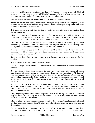And now, as of December 21st of this year, they think that they are going to make all this legal chicanery — their illegal and unlawful "friendly" corporate take over of your government — a permanent arrangement benefiting themselves at your eternal expense.

We need all the peace keepers, all the LEOs, and all military on our side on this.

Every law enforcement agent, every federal employee, every State-of-State employee, every member of the American military, every Sheriff, every Peacekeeper, every LEO, and every member of the public has to wake up.

It is really no surprise that these foreign, for-profit governmental service corporations have served themselves.

They did this mainly by falsifying your identity "for" you, as we've seen, with The Dead Baby Scam and the falsified Masterfiles and use of coercion under False Pretenses to force you to enroll in Social Security and force you to sign up for Selective Service and all the rest of it.

They also acted "for" you to take control of your water and power utilities, your natural resources, your commodity and currency markets, your hospitals and schools, and virtually every other public or private institution they could glom onto and "administer".

Oh, and of course, your public investments. All of these State of State corporations are absolutely immensely wealthy, because they have been siphoning off your wealth for decades while purportedly acting in your behalf.

Last, but not least, they have taken away your rights and converted them into pay-for-play privileges.

Driver licenses. Marriage licenses. Business licenses.

And it's all bogus. It's all criminal. It's all commercial fraud and restraint of trade in one kind or another.

Not surprisingly, then, these monsters in suits have also unlawfully converted public peacekeeping offices into private law enforcement offices. They have done this by "de-funding" your public peacekeeping offices and paying for their private law enforcement offices with your money. They then use the LEOs they've hired "in your name" to harass and intimidate you and do things like evict you from your homes when you fail to pay fraudulently constructed mortgages.

All those nice people in the State of State Legislature? Most of them are clueless. Most of them spend their days plowing through crap up to their eyeballs and listening to people complain. Most of them get paid a pittance and per diem. It's the same with the County Board and all the various Commissioners.

They are just cogs in the wheel like the judges who stare at me and say, "But, but, but…that's the way we do it. That's the way we've always done it.…" Because they can't remember a time when things were done differently.

There are, however, some criminal kingpins, some true King Rats, embedded in or just outside of all these organizations. And, thankfully, they aren't hard to spot once you know what you are looking for.

So, not surprisingly the corporations "representing" our Representative Government, have defunded our Public Offices and funded their Private Security Services — their Pinkertons,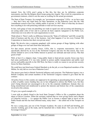instead. Now, the LEOs aren't going to like this, but they are by definition corporate mercenaries, just like the Belgian shock troops going into Angola. They work for corporations on government contracts, which is not the same as working for the actual government.

The State of State Troopers, for example, are "government corporation" LEOs—as we have seen — they don't have any legal basis for their operations, as the Pinkerton Laws like the 14th Amendment ceased to have any validity public or private, in 1907. Most of what they do doesn't have anything to do with protecting railroads or mail services anyway.

In fact, such gangs of men out patrolling our roads in squad cars and accosting and detaining us are acting under color of law and in a private de facto capacity repugnant to the Public Law, which does not even allow for such organizations to exist.

Think about it. There's really no difference between the "State of California" and GM, except the kind of business and the size of the business. And what happens if we let every Fortune 500 Corporation in America hire their own private army?

Right. We devolve into a corporate gangland, with various groups of thugs fighting with other groups of thugs over turf and client base and profits.

For that reason, private security forces, LEOs, that is, corporate mercenaries, had to be specifically allowed by an Act of the Territorial Congress and also for that reason, they were strictly limited to serve in the Public Interest to protect our railroads and mail service. Was that good or bad?

Well, at best it's a slippery slope. Using public funds to fund private security forces may have had some justification if it was truly needed to protect public transportation and public mail service and public payrolls in the Old West, but there is really no reason to use private security forces for these functions.

We could have just hired more Federal Marshals to do the job, or even Deputized members of the Militia. So why did we ever have Pinkerton Laws?

The answer goes back to British Territorial influence and cronyism. The Pinkerton Agency was a British Company and certain members of the Territorial Congress wanted to give them the fat contract.

All police forces in this country are supposed to be operating as peacekeeping forces. If they get a dime of public source funding they are in fact obligated to enforce the Public Law, but they aren't being directed nor encouraged to do so by the corporate middlemen. Instead, they are being misinformed and misdirected to protect the interests and bottom line of the corporations involved in this scheme.

I'll give you a good example of it.

I went with an elderly friend to the local State Trooper's Office to file a complaint about the abuse of Driver Licenses. When the secretary realized that we were giving Notice and a Report of Unlawful Activity — it's against the Public Law to license a natural right to travel on the Public Roads and this has been affirmed many, many times — she called one of the Troopers on duty.

He was a young man, just out of the Trooper Academy. He came in all buff and bristling, jaw muscles working, gun at the ready, and he launched into a tirade about, "Are you one of them Sovereign Citizens?"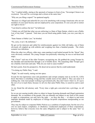"No," I replied mildly, staring at the spectacle of menace in front of me, "Sovereign Citizen is an oxymoron. You can't be a sovereign and a citizen at the same time."

"Why are you filing a report?" he sputtered angrily.

"Because it is illegal and unlawful for you to be interfering with average Americans who are not members of your Jural Society and not employed by your corporation. It's not your job to restrict our right to travel."

"I am hired to enforce the law!" he bellowed.

"I think you will find that what you are enforcing is a State of State Statute, which is not a Public Law of any kind." I paused. "And since you are hired using public funds, you owe your duty to me."

"State Statute is Public Law," he bristled.

"No, sorry, it isn't. By definition."

He got on his intercom and called for reinforcements against two little old ladies, one of them obviously all crippled up with arthritis and weighing less than a hundred pounds. The whole scenario was ridiculous.

When the other two officers, older men, came panting in and looked around for the "threat" they were obviously confused. The young Trooper was practically wheezing, he was so red-faced and angry.

"Oh, Christ!" said one of the older Troopers, recognizing me. He grabbed the young Trooper by the shoulder and marched him through a set of double doors. The remaining older Trooper gave me a baleful, tired stare and said, "Why do you want to cause trouble?"

He had a point, from his perspective. He deserved an answer that he could understand.

"I'm doing my Public Duty," I said.

"Right," he said wearily, staring out into space.

Except for true Ignoramus cases and greenhorns and corrupt company men in on the fix, LEOs know that there is something wrong and they usually more-or-less admit it. They can sense it if nothing else. Like most people working in government jobs, they don't know what it is. It's up to the rest of us to teach them, because we all owe that same Public Duty, to ourselves and to each other.

As my friend the old attorney said, "Every time a right gets converted into a privilege, we all lose."

So we are not causing trouble when we object to bogus licensing demands and illegal registration demands. We, as members of the people, who are naturally not subject to any form of law meant to apply to corporations, not only have the right — we have the duty — to object to and resist improper demands made by employees of foreign for-profit corporations masquerading as our government.

They may be subject to corporate Public Policies as a condition of employment, but the rest of us owe no such respect, compliance, or obedience. Uneducated employees of these corporations, however, believe that everyone owes the same obligations and is subject to the same "law" as them.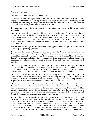We have to teach them otherwise.

We have to teach ourselves and our children, too.

Otherwise, we will have a generation of men like that clueless young State of State Trooper, engaged in activity that is — strictly speaking, both illegal and unlawful — rampaging around insulting and threatening his employers and believing the whole time that he is an officer of "the" law, when in fact, at best, he is an officer of "a" law.

He's not even aware of the actual Public Law. That rather precludes any ability on his part to enforce it.

Most of us who are here, engaged in this training, are peacekeeping officials of one stripe or another, or, we are considering taking up the duty of peacekeeping, because we realize that this blight of corporatism and the so-called "privatization of government" is criminal in nature, is being promoted by foreign powers and foreign business interests, and will lead inevitably to the abject enslavement of ourselves and of our country if we don't all stand up and liquidate these paper dragons.

We can, ironically enough, use the corporation's own apparatus to do this, just as they have used our money and gullibility against us.

It is essential that LEOs be brought up to speed and that the Peacekeepers correct their own falsified records, declare their proper political status, and get themselves and their State Assemblies organized. It is then of crucial importance that the State Assemblies get their Jury Pools, Court Officers, and other actual government functionaries organized and operating. At the beginning, this will require a lot of volunteer effort on all our parts, and a vast educational effort as well.

The Continental Marshals Service is being trained to intercept, prevent, and prosecute crimes taking place in the international jurisdiction of the land. By definition this includes interstate crimes: human trafficking, bank and securities fraud, counterfeiting, inland piracy, and similar offenses all fall under their bailiwick. So do prisoner transport and collection duties.

The State Militias are populated as part of the State Assembly process and may be employed on a state and local basis for peacekeeping activities, including making Citizen's Arrests when necessary. The more common role of the State Militia is to support the local County Sheriffs as Deputies when local manpower resources are tapped out or unavailable.

The Old School Sheriffs like Richard Mack still know their actual duty and still know the Public Law. They know how their power and their authority have been usurped, and now they know how justice itself has been undermined by the corporate plague. As more of them grasp what has actually happened here and see the way things are supposed to be versus the way things are, their motivation toward right action will increase, public support for their efforts will increase, and County Government can be directly and expeditiously restored.

It is to be hoped that the majority of men serving as LEOs will come awake with a bump and assist our efforts, or at least recognize them for what they are, and not be misled or induced to take any action against us. We have proof that just as members of the FBI and other Agencies are being lied to and presented with falsified documents, LEOs serving as corporate "Sheriffs" have also been lied to. A significant amount of propaganda money has been invested by the guilty corporations to "educate" LEOs about the dangers of so-called Sovereign Citizens and Hate Groups and so on, and we have been painted with that brush often enough, or we wouldn't have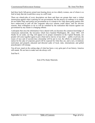had three beefy full-grown armed men bearing down on two elderly women, one of whom is so frail in body that she would blow away in a stiff wind.

There are whack-jobs of every description out there and there are groups that want a violent insurrection against what is passing for our government, but the answer we embrace is to simply do our Public Duty and restore our government as it is meant to be. Only those guilty parties who have endeavored to pull off this corporate take-over scheme could object, and for obvious reasons, their willingness to do so will be curtailed by the realization that treason against our government by any means is a hanging offense.

I anticipate that once the information I have shared with you becomes the common knowledge of Americans nationwide, the travesties which have haunted Washington, DC, since 1865, will finally be set aside, our flag will appear in its proper orientation in the Capitol Rotunda, our people will come together again to put a final end to slavery of any kind — public or private, the issues of race and of second-class citizenship will be put to rest, the efforts to undermine our nation for the sake of corporate greed will be exposed for what they are, and a new, revitalized, motivated, and properly educated and directed cadre of local, state, international, and global peacekeepers will emerge.

You all now stand on the cutting edge of what has been a very grim part of our history. America still stands. We are here to make sure she always will.

End Part 8.

End of Pre-Study Materials.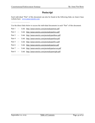——————————

——————————

## <span id="page-51-0"></span>**Postscript**

Each individual "Part" of this document can also be found at the following links on Anna's base website here: [www.annavonreitz.com](http://www.annavonreitz.com)

Use the direct links below to access the individual documents in each "Part" of this document.

Part 1 — Link: <http://annavonreitz.com/prestudypartone.pdf>

Part 2 — Link: <http://annavonreitz.com/prestudyparttwo.pdf>

Part 3 — Link: http://annavonreitz.com/prestudypartthree.pdf

Part 4 — Link: <http://annavonreitz.com/prestudypartfour.pdf>

Part 5 — Link: http://annavonreitz.com/prestudypartfive.pdf

Part 6 — Link: http://annavonreitz.com/prestudypartsix.pdf

Part 7 — Link: <http://annavonreitz.com/prestudypartseven.pdf>

Part 8 — Link: <http://annavonreitz.com/prestudyparteight.pdf>